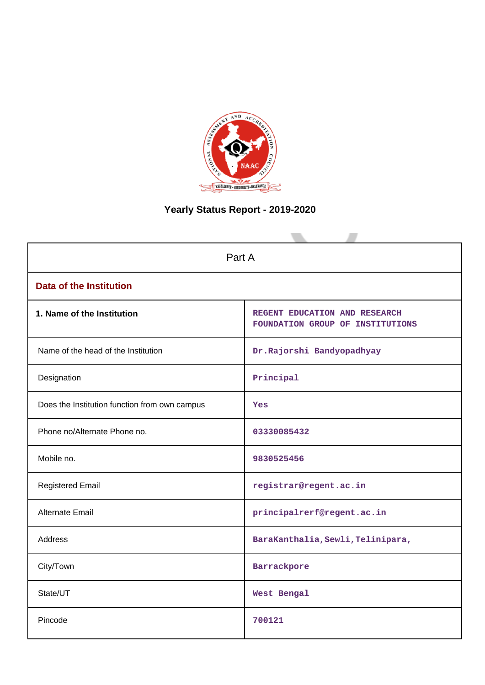

# **Yearly Status Report - 2019-2020**

| Part A                                        |                                                                   |  |  |  |
|-----------------------------------------------|-------------------------------------------------------------------|--|--|--|
| <b>Data of the Institution</b>                |                                                                   |  |  |  |
| 1. Name of the Institution                    | REGENT EDUCATION AND RESEARCH<br>FOUNDATION GROUP OF INSTITUTIONS |  |  |  |
| Name of the head of the Institution           | Dr.Rajorshi Bandyopadhyay                                         |  |  |  |
| Designation                                   | Principal                                                         |  |  |  |
| Does the Institution function from own campus | Yes                                                               |  |  |  |
| Phone no/Alternate Phone no.                  | 03330085432                                                       |  |  |  |
| Mobile no.                                    | 9830525456                                                        |  |  |  |
| <b>Registered Email</b>                       | registrar@regent.ac.in                                            |  |  |  |
| Alternate Email                               | principalrerf@regent.ac.in                                        |  |  |  |
| <b>Address</b>                                | BaraKanthalia, Sewli, Telinipara,                                 |  |  |  |
| City/Town                                     | Barrackpore                                                       |  |  |  |
| State/UT                                      | West Bengal                                                       |  |  |  |
| Pincode                                       | 700121                                                            |  |  |  |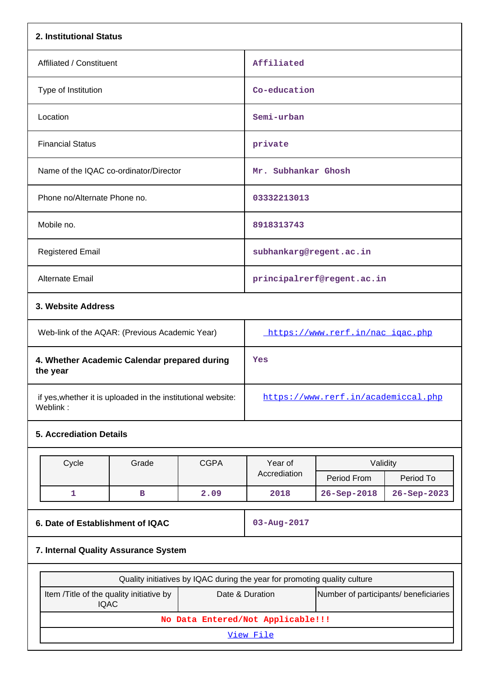| 2. Institutional Status                                                  |                                      |             |                                                                           |                                       |             |
|--------------------------------------------------------------------------|--------------------------------------|-------------|---------------------------------------------------------------------------|---------------------------------------|-------------|
| Affiliated / Constituent                                                 |                                      |             | Affiliated                                                                |                                       |             |
| Type of Institution                                                      |                                      |             | Co-education                                                              |                                       |             |
| Location                                                                 |                                      |             | Semi-urban                                                                |                                       |             |
| <b>Financial Status</b>                                                  |                                      |             | private                                                                   |                                       |             |
| Name of the IQAC co-ordinator/Director                                   |                                      |             | Mr. Subhankar Ghosh                                                       |                                       |             |
| Phone no/Alternate Phone no.                                             |                                      |             | 03332213013                                                               |                                       |             |
| Mobile no.                                                               |                                      |             | 8918313743                                                                |                                       |             |
| <b>Registered Email</b>                                                  |                                      |             | subhankarg@regent.ac.in                                                   |                                       |             |
| Alternate Email                                                          |                                      |             |                                                                           | principalrerf@regent.ac.in            |             |
| 3. Website Address                                                       |                                      |             |                                                                           |                                       |             |
| Web-link of the AQAR: (Previous Academic Year)                           |                                      |             | https://www.rerf.in/nac_igac.php                                          |                                       |             |
| 4. Whether Academic Calendar prepared during<br>the year                 |                                      |             | Yes                                                                       |                                       |             |
| if yes, whether it is uploaded in the institutional website:<br>Weblink: |                                      |             | https://www.rerf.in/academiccal.php                                       |                                       |             |
| <b>5. Accrediation Details</b>                                           |                                      |             |                                                                           |                                       |             |
| Cycle                                                                    | Grade                                | <b>CGPA</b> | Year of                                                                   | Validity                              |             |
|                                                                          |                                      |             | Accrediation                                                              | Period From                           | Period To   |
| $\mathbf{1}$                                                             | в                                    | 2.09        | 2018                                                                      | 26-Sep-2018                           | 26-Sep-2023 |
| 6. Date of Establishment of IQAC                                         |                                      |             | 03-Aug-2017                                                               |                                       |             |
|                                                                          | 7. Internal Quality Assurance System |             |                                                                           |                                       |             |
|                                                                          |                                      |             | Quality initiatives by IQAC during the year for promoting quality culture |                                       |             |
| Item /Title of the quality initiative by<br><b>IQAC</b>                  |                                      |             | Date & Duration                                                           | Number of participants/ beneficiaries |             |
|                                                                          |                                      |             | No Data Entered/Not Applicable!!!                                         |                                       |             |
| View File                                                                |                                      |             |                                                                           |                                       |             |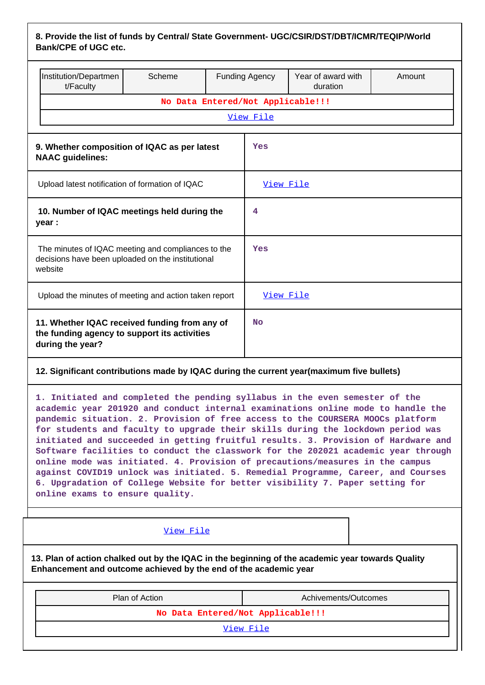| 8. Provide the list of funds by Central/ State Government- UGC/CSIR/DST/DBT/ICMR/TEQIP/World |  |
|----------------------------------------------------------------------------------------------|--|
| <b>Bank/CPE of UGC etc.</b>                                                                  |  |

|                                                                                                                    | Institution/Departmen<br>t/Faculty | Scheme                            |   | <b>Funding Agency</b> | Year of award with<br>duration                                                           | Amount |  |  |
|--------------------------------------------------------------------------------------------------------------------|------------------------------------|-----------------------------------|---|-----------------------|------------------------------------------------------------------------------------------|--------|--|--|
|                                                                                                                    |                                    | No Data Entered/Not Applicable!!! |   |                       |                                                                                          |        |  |  |
|                                                                                                                    | View File                          |                                   |   |                       |                                                                                          |        |  |  |
| 9. Whether composition of IQAC as per latest<br><b>NAAC</b> guidelines:                                            |                                    |                                   |   | Yes                   |                                                                                          |        |  |  |
| Upload latest notification of formation of IQAC                                                                    |                                    |                                   |   | View File             |                                                                                          |        |  |  |
| 10. Number of IQAC meetings held during the<br>year :                                                              |                                    |                                   | 4 |                       |                                                                                          |        |  |  |
| The minutes of IQAC meeting and compliances to the<br>decisions have been uploaded on the institutional<br>website |                                    |                                   |   | Yes                   |                                                                                          |        |  |  |
| Upload the minutes of meeting and action taken report                                                              |                                    |                                   |   | View File             |                                                                                          |        |  |  |
| 11. Whether IQAC received funding from any of<br>the funding agency to support its activities<br>during the year?  |                                    |                                   |   | No                    |                                                                                          |        |  |  |
|                                                                                                                    |                                    |                                   |   |                       | 12. Significant contributions made by IQAC during the current year(maximum five bullets) |        |  |  |

**1. Initiated and completed the pending syllabus in the even semester of the academic year 201920 and conduct internal examinations online mode to handle the pandemic situation. 2. Provision of free access to the COURSERA MOOCs platform for students and faculty to upgrade their skills during the lockdown period was initiated and succeeded in getting fruitful results. 3. Provision of Hardware and Software facilities to conduct the classwork for the 202021 academic year through online mode was initiated. 4. Provision of precautions/measures in the campus against COVID19 unlock was initiated. 5. Remedial Programme, Career, and Courses 6. Upgradation of College Website for better visibility 7. Paper setting for online exams to ensure quality.**

| View File                                                                                                                                                            |                      |  |  |  |  |  |  |  |
|----------------------------------------------------------------------------------------------------------------------------------------------------------------------|----------------------|--|--|--|--|--|--|--|
| 13. Plan of action chalked out by the IQAC in the beginning of the academic year towards Quality<br>Enhancement and outcome achieved by the end of the academic year |                      |  |  |  |  |  |  |  |
| Plan of Action                                                                                                                                                       | Achivements/Outcomes |  |  |  |  |  |  |  |
| No Data Entered/Not Applicable!!!                                                                                                                                    |                      |  |  |  |  |  |  |  |

|  |  | View File |  |
|--|--|-----------|--|
|--|--|-----------|--|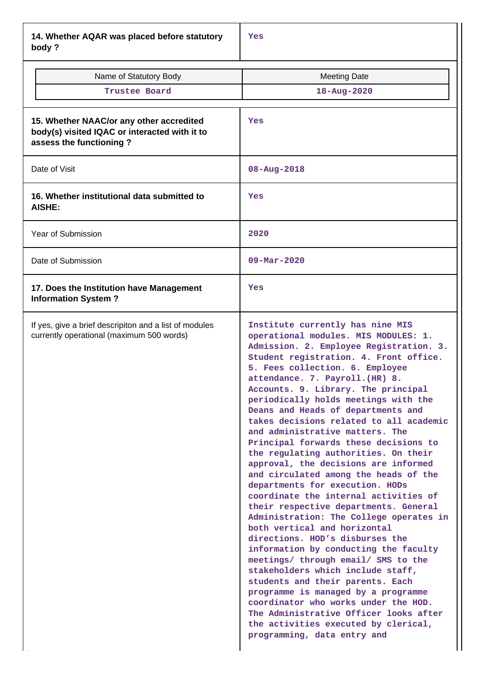**14. Whether AQAR was placed before statutory body ?**

| www.                                                                                                                 |                                                                                                                                                                                                                                                                                                                                                                                                                                                                                                                                                                                                                                                                                                                                                                                                                                                                                                                                                                                                                                                                                                                                                                                                      |
|----------------------------------------------------------------------------------------------------------------------|------------------------------------------------------------------------------------------------------------------------------------------------------------------------------------------------------------------------------------------------------------------------------------------------------------------------------------------------------------------------------------------------------------------------------------------------------------------------------------------------------------------------------------------------------------------------------------------------------------------------------------------------------------------------------------------------------------------------------------------------------------------------------------------------------------------------------------------------------------------------------------------------------------------------------------------------------------------------------------------------------------------------------------------------------------------------------------------------------------------------------------------------------------------------------------------------------|
| Name of Statutory Body                                                                                               | <b>Meeting Date</b>                                                                                                                                                                                                                                                                                                                                                                                                                                                                                                                                                                                                                                                                                                                                                                                                                                                                                                                                                                                                                                                                                                                                                                                  |
| Trustee Board                                                                                                        | 18-Aug-2020                                                                                                                                                                                                                                                                                                                                                                                                                                                                                                                                                                                                                                                                                                                                                                                                                                                                                                                                                                                                                                                                                                                                                                                          |
|                                                                                                                      |                                                                                                                                                                                                                                                                                                                                                                                                                                                                                                                                                                                                                                                                                                                                                                                                                                                                                                                                                                                                                                                                                                                                                                                                      |
| 15. Whether NAAC/or any other accredited<br>body(s) visited IQAC or interacted with it to<br>assess the functioning? | Yes                                                                                                                                                                                                                                                                                                                                                                                                                                                                                                                                                                                                                                                                                                                                                                                                                                                                                                                                                                                                                                                                                                                                                                                                  |
| Date of Visit                                                                                                        | $08 - Aug - 2018$                                                                                                                                                                                                                                                                                                                                                                                                                                                                                                                                                                                                                                                                                                                                                                                                                                                                                                                                                                                                                                                                                                                                                                                    |
| 16. Whether institutional data submitted to<br><b>AISHE:</b>                                                         | Yes                                                                                                                                                                                                                                                                                                                                                                                                                                                                                                                                                                                                                                                                                                                                                                                                                                                                                                                                                                                                                                                                                                                                                                                                  |
| Year of Submission                                                                                                   | 2020                                                                                                                                                                                                                                                                                                                                                                                                                                                                                                                                                                                                                                                                                                                                                                                                                                                                                                                                                                                                                                                                                                                                                                                                 |
| Date of Submission                                                                                                   | $09 - \text{Mar} - 2020$                                                                                                                                                                                                                                                                                                                                                                                                                                                                                                                                                                                                                                                                                                                                                                                                                                                                                                                                                                                                                                                                                                                                                                             |
| 17. Does the Institution have Management<br><b>Information System?</b>                                               | Yes                                                                                                                                                                                                                                                                                                                                                                                                                                                                                                                                                                                                                                                                                                                                                                                                                                                                                                                                                                                                                                                                                                                                                                                                  |
| If yes, give a brief descripiton and a list of modules<br>currently operational (maximum 500 words)                  | Institute currently has nine MIS<br>operational modules. MIS MODULES: 1.<br>Admission. 2. Employee Registration. 3.<br>Student registration. 4. Front office.<br>5. Fees collection. 6. Employee<br>attendance. 7. Payroll. (HR) 8.<br>Accounts. 9. Library. The principal<br>periodically holds meetings with the<br>Deans and Heads of departments and<br>takes decisions related to all academic<br>and administrative matters. The<br>Principal forwards these decisions to<br>the regulating authorities. On their<br>approval, the decisions are informed<br>and circulated among the heads of the<br>departments for execution. HODs<br>coordinate the internal activities of<br>their respective departments. General<br>Administration: The College operates in<br>both vertical and horizontal<br>directions. HOD's disburses the<br>information by conducting the faculty<br>meetings/ through email/ SMS to the<br>stakeholders which include staff,<br>students and their parents. Each<br>programme is managed by a programme<br>coordinator who works under the HOD.<br>The Administrative Officer looks after<br>the activities executed by clerical,<br>programming, data entry and |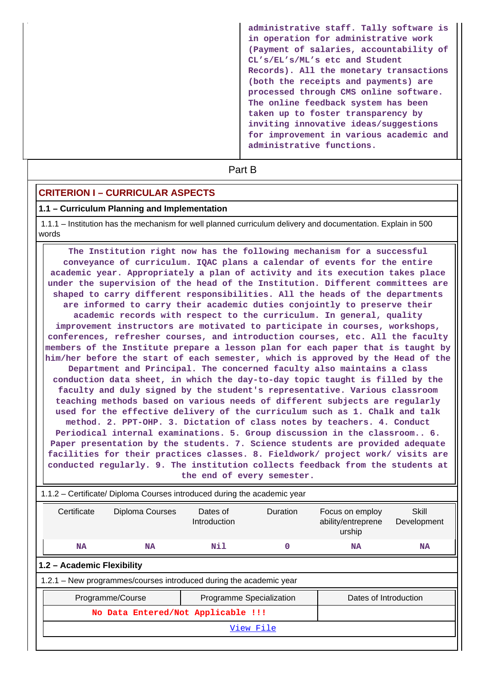**administrative staff. Tally software is in operation for administrative work (Payment of salaries, accountability of CL's/EL's/ML's etc and Student Records). All the monetary transactions (both the receipts and payments) are processed through CMS online software. The online feedback system has been taken up to foster transparency by inviting innovative ideas/suggestions for improvement in various academic and administrative functions.**

**Part B** 

# **CRITERION I – CURRICULAR ASPECTS**

#### **1.1 – Curriculum Planning and Implementation**

 1.1.1 – Institution has the mechanism for well planned curriculum delivery and documentation. Explain in 500 words

 **The Institution right now has the following mechanism for a successful conveyance of curriculum. IQAC plans a calendar of events for the entire academic year. Appropriately a plan of activity and its execution takes place under the supervision of the head of the Institution. Different committees are shaped to carry different responsibilities. All the heads of the departments are informed to carry their academic duties conjointly to preserve their academic records with respect to the curriculum. In general, quality improvement instructors are motivated to participate in courses, workshops, conferences, refresher courses, and introduction courses, etc. All the faculty members of the Institute prepare a lesson plan for each paper that is taught by him/her before the start of each semester, which is approved by the Head of the Department and Principal. The concerned faculty also maintains a class conduction data sheet, in which the day-to-day topic taught is filled by the faculty and duly signed by the student's representative. Various classroom teaching methods based on various needs of different subjects are regularly used for the effective delivery of the curriculum such as 1. Chalk and talk method. 2. PPT-OHP. 3. Dictation of class notes by teachers. 4. Conduct Periodical internal examinations. 5. Group discussion in the classroom.. 6. Paper presentation by the students. 7. Science students are provided adequate facilities for their practices classes. 8. Fieldwork/ project work/ visits are conducted regularly. 9. The institution collects feedback from the students at the end of every semester.**

| 1.1.2 – Certificate/ Diploma Courses introduced during the academic year |                 |                          |                 |                                                 |                      |  |  |
|--------------------------------------------------------------------------|-----------------|--------------------------|-----------------|-------------------------------------------------|----------------------|--|--|
| Certificate                                                              | Diploma Courses | Dates of<br>Introduction | <b>Duration</b> | Focus on employ<br>ability/entreprene<br>urship | Skill<br>Development |  |  |
| <b>NA</b>                                                                | <b>NA</b>       | Nil                      | 0               | <b>NA</b>                                       | <b>NA</b>            |  |  |
| 1.2 - Academic Flexibility                                               |                 |                          |                 |                                                 |                      |  |  |
| 1.2.1 – New programmes/courses introduced during the academic year       |                 |                          |                 |                                                 |                      |  |  |
| Programme Specialization<br>Dates of Introduction<br>Programme/Course    |                 |                          |                 |                                                 |                      |  |  |
| No Data Entered/Not Applicable !!!                                       |                 |                          |                 |                                                 |                      |  |  |
| View File                                                                |                 |                          |                 |                                                 |                      |  |  |
|                                                                          |                 |                          |                 |                                                 |                      |  |  |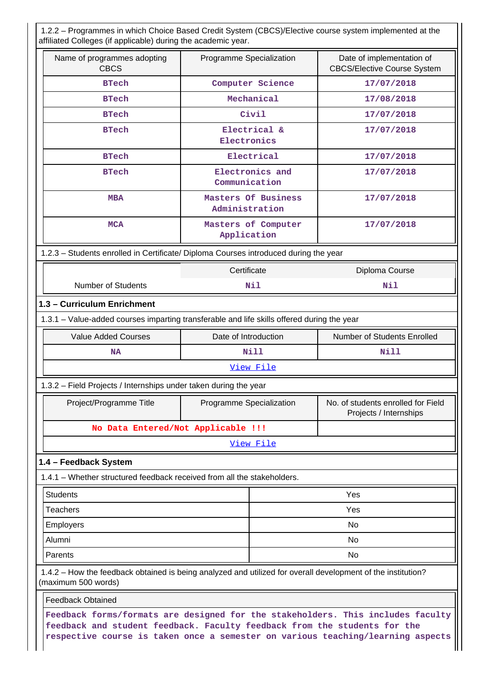1.2.2 – Programmes in which Choice Based Credit System (CBCS)/Elective course system implemented at the affiliated Colleges (if applicable) during the academic year.

| Name of programmes adopting<br><b>CBCS</b>                                                                                                                   | Programme Specialization              | Date of implementation of<br><b>CBCS/Elective Course System</b>                 |  |  |  |  |  |
|--------------------------------------------------------------------------------------------------------------------------------------------------------------|---------------------------------------|---------------------------------------------------------------------------------|--|--|--|--|--|
| <b>BTech</b>                                                                                                                                                 | Computer Science                      | 17/07/2018                                                                      |  |  |  |  |  |
| <b>BTech</b>                                                                                                                                                 | Mechanical                            | 17/08/2018                                                                      |  |  |  |  |  |
| <b>BTech</b>                                                                                                                                                 | Civil                                 | 17/07/2018                                                                      |  |  |  |  |  |
| <b>BTech</b>                                                                                                                                                 | Electrical &<br>Electronics           | 17/07/2018                                                                      |  |  |  |  |  |
| <b>BTech</b>                                                                                                                                                 | Electrical                            | 17/07/2018                                                                      |  |  |  |  |  |
| <b>BTech</b>                                                                                                                                                 | Electronics and<br>Communication      | 17/07/2018                                                                      |  |  |  |  |  |
| <b>MBA</b>                                                                                                                                                   | Masters Of Business<br>Administration | 17/07/2018                                                                      |  |  |  |  |  |
| <b>MCA</b>                                                                                                                                                   | Masters of Computer<br>Application    | 17/07/2018                                                                      |  |  |  |  |  |
| 1.2.3 - Students enrolled in Certificate/ Diploma Courses introduced during the year                                                                         |                                       |                                                                                 |  |  |  |  |  |
| Certificate<br>Diploma Course                                                                                                                                |                                       |                                                                                 |  |  |  |  |  |
| <b>Number of Students</b>                                                                                                                                    | Nil                                   | Nil                                                                             |  |  |  |  |  |
| 1.3 - Curriculum Enrichment                                                                                                                                  |                                       |                                                                                 |  |  |  |  |  |
| 1.3.1 - Value-added courses imparting transferable and life skills offered during the year                                                                   |                                       |                                                                                 |  |  |  |  |  |
| <b>Value Added Courses</b>                                                                                                                                   | Date of Introduction                  | Number of Students Enrolled                                                     |  |  |  |  |  |
| NA                                                                                                                                                           | Nill                                  | Nill                                                                            |  |  |  |  |  |
|                                                                                                                                                              | View File                             |                                                                                 |  |  |  |  |  |
| 1.3.2 - Field Projects / Internships under taken during the year                                                                                             |                                       |                                                                                 |  |  |  |  |  |
| Project/Programme Title                                                                                                                                      | Programme Specialization              | No. of students enrolled for Field<br>Projects / Internships                    |  |  |  |  |  |
| No Data Entered/Not Applicable !!!                                                                                                                           |                                       |                                                                                 |  |  |  |  |  |
|                                                                                                                                                              | View File                             |                                                                                 |  |  |  |  |  |
| 1.4 - Feedback System                                                                                                                                        |                                       |                                                                                 |  |  |  |  |  |
| 1.4.1 – Whether structured feedback received from all the stakeholders.                                                                                      |                                       |                                                                                 |  |  |  |  |  |
| <b>Students</b>                                                                                                                                              |                                       | Yes                                                                             |  |  |  |  |  |
| <b>Teachers</b>                                                                                                                                              |                                       | Yes                                                                             |  |  |  |  |  |
| Employers                                                                                                                                                    |                                       | No                                                                              |  |  |  |  |  |
| Alumni                                                                                                                                                       | No.                                   |                                                                                 |  |  |  |  |  |
| Parents                                                                                                                                                      | No                                    |                                                                                 |  |  |  |  |  |
| 1.4.2 - How the feedback obtained is being analyzed and utilized for overall development of the institution?<br>(maximum 500 words)                          |                                       |                                                                                 |  |  |  |  |  |
| <b>Feedback Obtained</b>                                                                                                                                     |                                       |                                                                                 |  |  |  |  |  |
| feedback and student feedback. Faculty feedback from the students for the<br>respective course is taken once a semester on various teaching/learning aspects |                                       | Feedback forms/formats are designed for the stakeholders. This includes faculty |  |  |  |  |  |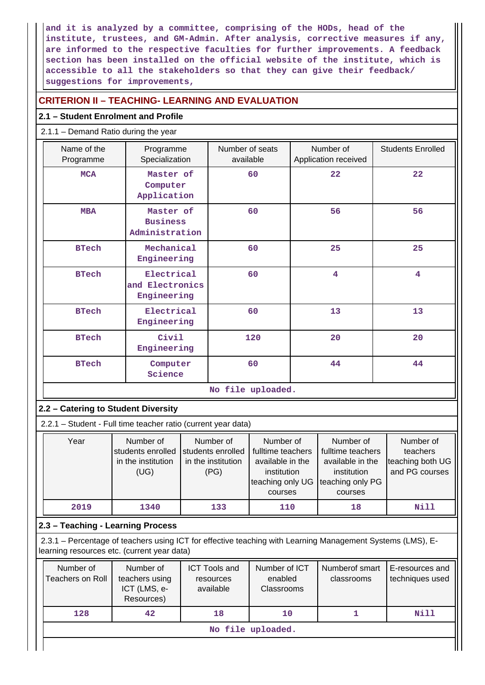**and it is analyzed by a committee, comprising of the HODs, head of the institute, trustees, and GM-Admin. After analysis, corrective measures if any, are informed to the respective faculties for further improvements. A feedback section has been installed on the official website of the institute, which is accessible to all the stakeholders so that they can give their feedback/ suggestions for improvements,**

# **CRITERION II – TEACHING- LEARNING AND EVALUATION**

# **2.1 – Student Enrolment and Profile**

# 2.1.1 – Demand Ratio during the year

| Name of the<br>Programme | Programme<br>Specialization                    | Number of seats<br>available | Number of<br>Application received | <b>Students Enrolled</b> |  |  |
|--------------------------|------------------------------------------------|------------------------------|-----------------------------------|--------------------------|--|--|
| <b>MCA</b>               | Master of<br>Computer<br>Application           | 60                           | 22                                | 22                       |  |  |
| <b>MBA</b>               | Master of<br><b>Business</b><br>Administration | 60                           | 56                                | 56                       |  |  |
| <b>BTech</b>             | Mechanical<br>Engineering                      | 60                           | 25                                | 25                       |  |  |
| <b>BTech</b>             | Electrical<br>and Electronics<br>Engineering   | 60                           | 4                                 | $\overline{\mathbf{4}}$  |  |  |
| <b>BTech</b>             | Electrical<br>Engineering                      | 60                           | 13                                | 13                       |  |  |
| <b>BTech</b>             | Civil<br>Engineering                           | 120                          | 20                                | 20                       |  |  |
| <b>BTech</b>             | Computer<br>Science                            | 60                           | 44                                | 44                       |  |  |
| No file uploaded.        |                                                |                              |                                   |                          |  |  |

### **2.2 – Catering to Student Diversity**

2.2.1 – Student - Full time teacher ratio (current year data)

| Year | Number of          | Number of          | Number of                          | Number of         | Number of        |
|------|--------------------|--------------------|------------------------------------|-------------------|------------------|
|      | students enrolled  | students enrolled  | fulltime teachers                  | fulltime teachers | teachers         |
|      | in the institution | in the institution | available in the                   | available in the  | teaching both UG |
|      | (UG)               | (PG)               | institution                        | institution       | and PG courses   |
|      |                    |                    | teaching only UG Iteaching only PG |                   |                  |
|      |                    |                    | courses                            | courses           |                  |
| 2019 | 1340               | 133                | 110                                | 18                | Nill             |

# **2.3 – Teaching - Learning Process**

 2.3.1 – Percentage of teachers using ICT for effective teaching with Learning Management Systems (LMS), Elearning resources etc. (current year data)

| Number of<br>Teachers on Roll | Number of<br>teachers using<br>ICT (LMS, e-<br>Resources) | <b>ICT Tools and</b><br>resources<br>available | Number of ICT<br>enabled<br><b>Classrooms</b> | Numberof smart<br>classrooms | E-resources and<br>techniques used |  |
|-------------------------------|-----------------------------------------------------------|------------------------------------------------|-----------------------------------------------|------------------------------|------------------------------------|--|
| 128                           | 42                                                        | 18                                             | 10                                            |                              | Nill                               |  |
| No file uploaded.             |                                                           |                                                |                                               |                              |                                    |  |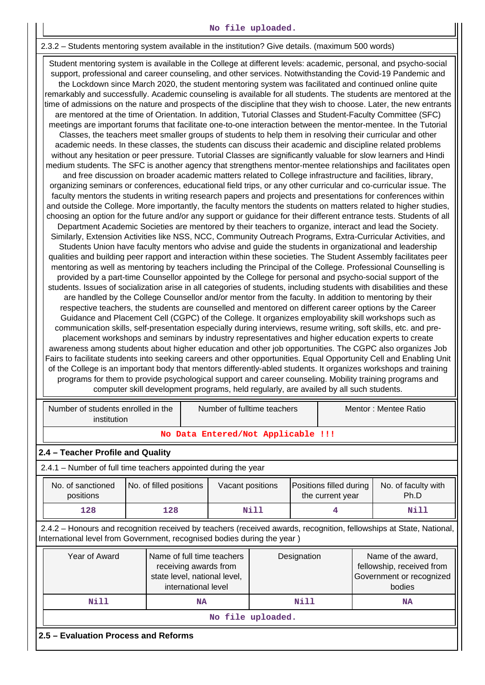#### **No file uploaded.**

#### 2.3.2 – Students mentoring system available in the institution? Give details. (maximum 500 words)

 Student mentoring system is available in the College at different levels: academic, personal, and psycho-social support, professional and career counseling, and other services. Notwithstanding the Covid-19 Pandemic and the Lockdown since March 2020, the student mentoring system was facilitated and continued online quite remarkably and successfully. Academic counseling is available for all students. The students are mentored at the time of admissions on the nature and prospects of the discipline that they wish to choose. Later, the new entrants are mentored at the time of Orientation. In addition, Tutorial Classes and Student-Faculty Committee (SFC) meetings are important forums that facilitate one-to-one interaction between the mentor-mentee. In the Tutorial Classes, the teachers meet smaller groups of students to help them in resolving their curricular and other academic needs. In these classes, the students can discuss their academic and discipline related problems without any hesitation or peer pressure. Tutorial Classes are significantly valuable for slow learners and Hindi medium students. The SFC is another agency that strengthens mentor-mentee relationships and facilitates open and free discussion on broader academic matters related to College infrastructure and facilities, library, organizing seminars or conferences, educational field trips, or any other curricular and co-curricular issue. The faculty mentors the students in writing research papers and projects and presentations for conferences within and outside the College. More importantly, the faculty mentors the students on matters related to higher studies, choosing an option for the future and/or any support or guidance for their different entrance tests. Students of all Department Academic Societies are mentored by their teachers to organize, interact and lead the Society. Similarly, Extension Activities like NSS, NCC, Community Outreach Programs, Extra-Curricular Activities, and Students Union have faculty mentors who advise and guide the students in organizational and leadership qualities and building peer rapport and interaction within these societies. The Student Assembly facilitates peer mentoring as well as mentoring by teachers including the Principal of the College. Professional Counselling is provided by a part-time Counsellor appointed by the College for personal and psycho-social support of the students. Issues of socialization arise in all categories of students, including students with disabilities and these are handled by the College Counsellor and/or mentor from the faculty. In addition to mentoring by their respective teachers, the students are counselled and mentored on different career options by the Career Guidance and Placement Cell (CGPC) of the College. It organizes employability skill workshops such as communication skills, self-presentation especially during interviews, resume writing, soft skills, etc. and preplacement workshops and seminars by industry representatives and higher education experts to create awareness among students about higher education and other job opportunities. The CGPC also organizes Job Fairs to facilitate students into seeking careers and other opportunities. Equal Opportunity Cell and Enabling Unit of the College is an important body that mentors differently-abled students. It organizes workshops and training programs for them to provide psychological support and career counseling. Mobility training programs and computer skill development programs, held regularly, are availed by all such students.

| Number of students enrolled in the<br>institution                                                                                                                                              |                                                                                                            | Number of fulltime teachers |  |                                                                             | Mentor: Mentee Ratio                        |                             |  |  |  |  |
|------------------------------------------------------------------------------------------------------------------------------------------------------------------------------------------------|------------------------------------------------------------------------------------------------------------|-----------------------------|--|-----------------------------------------------------------------------------|---------------------------------------------|-----------------------------|--|--|--|--|
|                                                                                                                                                                                                | No Data Entered/Not Applicable !!!                                                                         |                             |  |                                                                             |                                             |                             |  |  |  |  |
| 2.4 - Teacher Profile and Quality                                                                                                                                                              |                                                                                                            |                             |  |                                                                             |                                             |                             |  |  |  |  |
| 2.4.1 – Number of full time teachers appointed during the year                                                                                                                                 |                                                                                                            |                             |  |                                                                             |                                             |                             |  |  |  |  |
| No. of filled positions<br>No. of sanctioned<br>positions                                                                                                                                      |                                                                                                            | Vacant positions            |  |                                                                             | Positions filled during<br>the current year | No. of faculty with<br>Ph.D |  |  |  |  |
| 128<br>128                                                                                                                                                                                     |                                                                                                            | Nill                        |  |                                                                             |                                             | Nill                        |  |  |  |  |
| 2.4.2 – Honours and recognition received by teachers (received awards, recognition, fellowships at State, National,<br>International level from Government, recognised bodies during the year) |                                                                                                            |                             |  |                                                                             |                                             |                             |  |  |  |  |
| Year of Award                                                                                                                                                                                  | Name of full time teachers<br>receiving awards from<br>state level, national level,<br>international level | Designation<br>bodies       |  | Name of the award,<br>fellowship, received from<br>Government or recognized |                                             |                             |  |  |  |  |
| Nill                                                                                                                                                                                           | <b>NA</b>                                                                                                  |                             |  | Nill                                                                        |                                             | <b>NA</b>                   |  |  |  |  |
| No file uploaded.                                                                                                                                                                              |                                                                                                            |                             |  |                                                                             |                                             |                             |  |  |  |  |
| 2.5 - Evaluation Process and Reforms                                                                                                                                                           |                                                                                                            |                             |  |                                                                             |                                             |                             |  |  |  |  |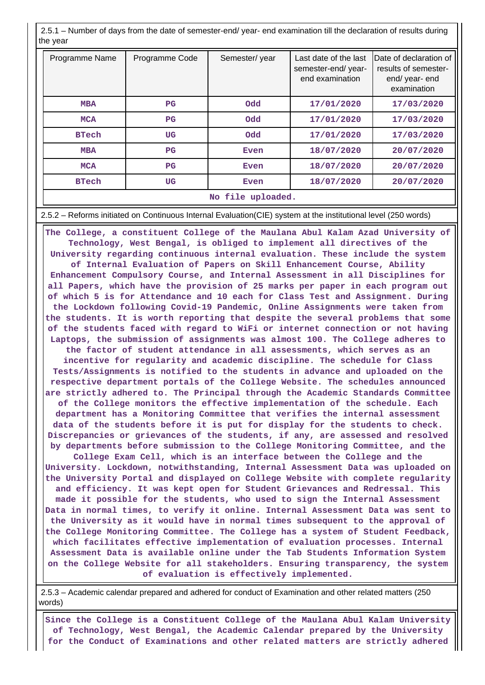2.5.1 – Number of days from the date of semester-end/ year- end examination till the declaration of results during the year

| Programme Name    | Programme Code | Semester/year | Last date of the last<br>semester-end/year-<br>end examination | Date of declaration of<br>results of semester-<br>end/ year- end<br>examination |  |  |  |  |
|-------------------|----------------|---------------|----------------------------------------------------------------|---------------------------------------------------------------------------------|--|--|--|--|
| <b>MBA</b>        | $_{\rm PG}$    | <b>Odd</b>    | 17/01/2020                                                     | 17/03/2020                                                                      |  |  |  |  |
| <b>MCA</b>        | $_{\rm PG}$    | <b>Odd</b>    | 17/01/2020                                                     | 17/03/2020                                                                      |  |  |  |  |
| <b>BTech</b>      | <b>UG</b>      | <b>Odd</b>    | 17/01/2020                                                     | 17/03/2020                                                                      |  |  |  |  |
| <b>MBA</b>        | $_{\rm PG}$    | Even          | 18/07/2020                                                     | 20/07/2020                                                                      |  |  |  |  |
| <b>MCA</b>        | $_{\rm PG}$    | Even          | 18/07/2020                                                     | 20/07/2020                                                                      |  |  |  |  |
| <b>BTech</b>      | UG             | Even          | 18/07/2020                                                     | 20/07/2020                                                                      |  |  |  |  |
| No file uploaded. |                |               |                                                                |                                                                                 |  |  |  |  |

#### 2.5.2 – Reforms initiated on Continuous Internal Evaluation(CIE) system at the institutional level (250 words)

 **The College, a constituent College of the Maulana Abul Kalam Azad University of Technology, West Bengal, is obliged to implement all directives of the University regarding continuous internal evaluation. These include the system of Internal Evaluation of Papers on Skill Enhancement Course, Ability Enhancement Compulsory Course, and Internal Assessment in all Disciplines for all Papers, which have the provision of 25 marks per paper in each program out of which 5 is for Attendance and 10 each for Class Test and Assignment. During the Lockdown following Covid-19 Pandemic, Online Assignments were taken from the students. It is worth reporting that despite the several problems that some of the students faced with regard to WiFi or internet connection or not having Laptops, the submission of assignments was almost 100. The College adheres to the factor of student attendance in all assessments, which serves as an incentive for regularity and academic discipline. The schedule for Class Tests/Assignments is notified to the students in advance and uploaded on the respective department portals of the College Website. The schedules announced are strictly adhered to. The Principal through the Academic Standards Committee of the College monitors the effective implementation of the schedule. Each department has a Monitoring Committee that verifies the internal assessment data of the students before it is put for display for the students to check. Discrepancies or grievances of the students, if any, are assessed and resolved by departments before submission to the College Monitoring Committee, and the College Exam Cell, which is an interface between the College and the University. Lockdown, notwithstanding, Internal Assessment Data was uploaded on the University Portal and displayed on College Website with complete regularity and efficiency. It was kept open for Student Grievances and Redressal. This made it possible for the students, who used to sign the Internal Assessment Data in normal times, to verify it online. Internal Assessment Data was sent to the University as it would have in normal times subsequent to the approval of the College Monitoring Committee. The College has a system of Student Feedback, which facilitates effective implementation of evaluation processes. Internal Assessment Data is available online under the Tab Students Information System on the College Website for all stakeholders. Ensuring transparency, the system**

**of evaluation is effectively implemented.**

 2.5.3 – Academic calendar prepared and adhered for conduct of Examination and other related matters (250 words)

 **Since the College is a Constituent College of the Maulana Abul Kalam University of Technology, West Bengal, the Academic Calendar prepared by the University for the Conduct of Examinations and other related matters are strictly adhered**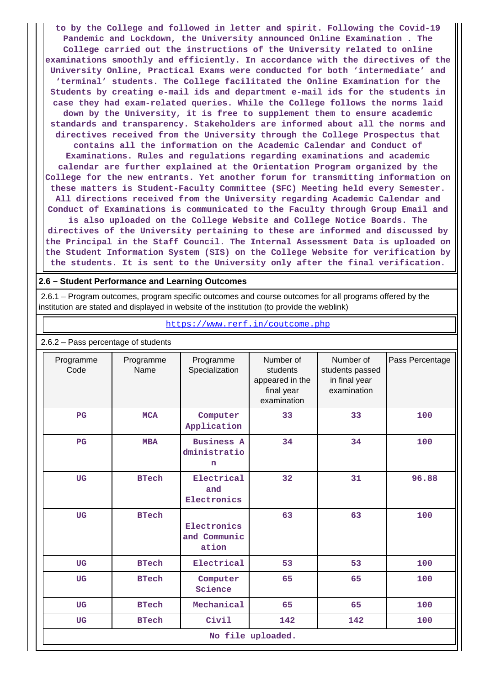**to by the College and followed in letter and spirit. Following the Covid-19 Pandemic and Lockdown, the University announced Online Examination . The College carried out the instructions of the University related to online examinations smoothly and efficiently. In accordance with the directives of the University Online, Practical Exams were conducted for both 'intermediate' and 'terminal' students. The College facilitated the Online Examination for the Students by creating e-mail ids and department e-mail ids for the students in case they had exam-related queries. While the College follows the norms laid down by the University, it is free to supplement them to ensure academic standards and transparency. Stakeholders are informed about all the norms and directives received from the University through the College Prospectus that contains all the information on the Academic Calendar and Conduct of Examinations. Rules and regulations regarding examinations and academic calendar are further explained at the Orientation Program organized by the College for the new entrants. Yet another forum for transmitting information on these matters is Student-Faculty Committee (SFC) Meeting held every Semester. All directions received from the University regarding Academic Calendar and Conduct of Examinations is communicated to the Faculty through Group Email and is also uploaded on the College Website and College Notice Boards. The directives of the University pertaining to these are informed and discussed by the Principal in the Staff Council. The Internal Assessment Data is uploaded on the Student Information System (SIS) on the College Website for verification by the students. It is sent to the University only after the final verification.**

#### **2.6 – Student Performance and Learning Outcomes**

 2.6.1 – Program outcomes, program specific outcomes and course outcomes for all programs offered by the institution are stated and displayed in website of the institution (to provide the weblink)

https://www.rerf.in/coutcome.php

|                   |                   |                                        |                                                                       |                                                              | 2.6.2 - Pass percentage of students |  |  |  |  |  |  |  |  |  |
|-------------------|-------------------|----------------------------------------|-----------------------------------------------------------------------|--------------------------------------------------------------|-------------------------------------|--|--|--|--|--|--|--|--|--|
| Programme<br>Code | Programme<br>Name | Programme<br>Specialization            | Number of<br>students<br>appeared in the<br>final year<br>examination | Number of<br>students passed<br>in final year<br>examination | Pass Percentage                     |  |  |  |  |  |  |  |  |  |
| $_{\rm PG}$       | <b>MCA</b>        | Computer<br>Application                | 33                                                                    | 33                                                           | 100                                 |  |  |  |  |  |  |  |  |  |
| $_{\rm PG}$       | <b>MBA</b>        | <b>Business A</b><br>dministratio<br>n | 34                                                                    | 34                                                           | 100                                 |  |  |  |  |  |  |  |  |  |
| <b>UG</b>         | <b>BTech</b>      | Electrical<br>and<br>Electronics       | 32                                                                    | 31                                                           | 96.88                               |  |  |  |  |  |  |  |  |  |
| <b>UG</b>         | <b>BTech</b>      | Electronics<br>and Communic<br>ation   | 63                                                                    | 63                                                           | 100                                 |  |  |  |  |  |  |  |  |  |
| <b>UG</b>         | <b>BTech</b>      | Electrical                             | 53                                                                    | 53                                                           | 100                                 |  |  |  |  |  |  |  |  |  |
| <b>UG</b>         | <b>BTech</b>      | Computer<br>Science                    | 65                                                                    | 65                                                           | 100                                 |  |  |  |  |  |  |  |  |  |
| <b>UG</b>         | <b>BTech</b>      | Mechanical                             | 65                                                                    | 65                                                           | 100                                 |  |  |  |  |  |  |  |  |  |
| <b>UG</b>         | <b>BTech</b>      | Civil                                  | 142                                                                   | 142                                                          | 100                                 |  |  |  |  |  |  |  |  |  |
|                   |                   |                                        | No file uploaded.                                                     |                                                              |                                     |  |  |  |  |  |  |  |  |  |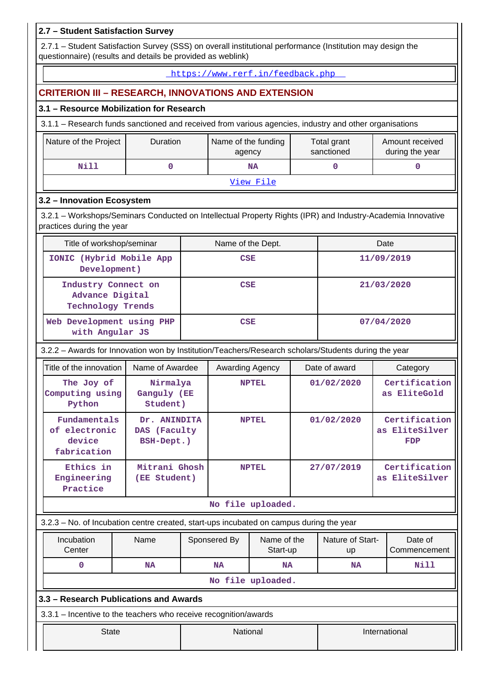#### **2.7 – Student Satisfaction Survey** 2.7.1 – Student Satisfaction Survey (SSS) on overall institutional performance (Institution may design the questionnaire) (results and details be provided as weblink) https://www.rerf.in/feedback.php **CRITERION III – RESEARCH, INNOVATIONS AND EXTENSION 3.1 – Resource Mobilization for Research** 3.1.1 – Research funds sanctioned and received from various agencies, industry and other organisations Nature of the Project | Duration | Name of the funding agency Total grant sanctioned Amount received during the year  **Nill 0 NA 0 0** View File **3.2 – Innovation Ecosystem** 3.2.1 – Workshops/Seminars Conducted on Intellectual Property Rights (IPR) and Industry-Academia Innovative practices during the year Title of workshop/seminar The Name of the Dept. The Date Date **IONIC (Hybrid Mobile App Development) CSE 11/09/2019 Industry Connect on Advance Digital Technology Trends CSE 21/03/2020 Web Development using PHP with Angular JS CSE 07/04/2020** 3.2.2 – Awards for Innovation won by Institution/Teachers/Research scholars/Students during the year Title of the innovation | Name of Awardee | Awarding Agency | Date of award | Category  **The Joy of Computing using Python Nirmalya Ganguly (EE Student) NPTEL 01/02/2020 Certification as EliteGold Fundamentals of electronic device fabrication Dr. ANINDITA DAS (Faculty BSH-Dept.) NPTEL 01/02/2020 Certification as EliteSilver FDP Ethics in Engineering Practice Mitrani Ghosh (EE Student) NPTEL 27/07/2019 Certification as EliteSilver No file uploaded.** 3.2.3 – No. of Incubation centre created, start-ups incubated on campus during the year Incubation **Center** Name | Sponsered By | Name of the Start-up Nature of Startup Date of Commencement  **0 NA NA NA NA Nill No file uploaded. 3.3 – Research Publications and Awards** 3.3.1 – Incentive to the teachers who receive recognition/awards **National International International International**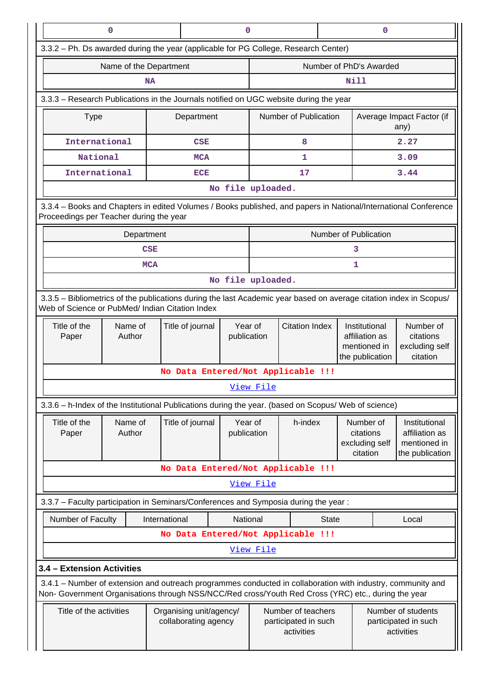| $\mathbf 0$                                                                                                                                                           |                                                                                                                                                                                   |                                    | 0                      |                                                          |                       |              |                                                                    | 0                                                        |                                                                    |  |
|-----------------------------------------------------------------------------------------------------------------------------------------------------------------------|-----------------------------------------------------------------------------------------------------------------------------------------------------------------------------------|------------------------------------|------------------------|----------------------------------------------------------|-----------------------|--------------|--------------------------------------------------------------------|----------------------------------------------------------|--------------------------------------------------------------------|--|
| 3.3.2 - Ph. Ds awarded during the year (applicable for PG College, Research Center)                                                                                   |                                                                                                                                                                                   |                                    |                        |                                                          |                       |              |                                                                    |                                                          |                                                                    |  |
|                                                                                                                                                                       | Name of the Department                                                                                                                                                            |                                    |                        |                                                          |                       |              | Number of PhD's Awarded                                            |                                                          |                                                                    |  |
|                                                                                                                                                                       | <b>NA</b>                                                                                                                                                                         |                                    |                        |                                                          |                       |              | Nill                                                               |                                                          |                                                                    |  |
| 3.3.3 - Research Publications in the Journals notified on UGC website during the year                                                                                 |                                                                                                                                                                                   |                                    |                        |                                                          |                       |              |                                                                    |                                                          |                                                                    |  |
| <b>Type</b>                                                                                                                                                           |                                                                                                                                                                                   | Department                         |                        |                                                          | Number of Publication |              |                                                                    | Average Impact Factor (if<br>any)                        |                                                                    |  |
| International                                                                                                                                                         |                                                                                                                                                                                   | <b>CSE</b>                         |                        |                                                          | 8                     |              |                                                                    |                                                          | 2.27                                                               |  |
| National                                                                                                                                                              |                                                                                                                                                                                   | <b>MCA</b>                         |                        |                                                          | 1                     |              |                                                                    |                                                          | 3.09                                                               |  |
| International                                                                                                                                                         |                                                                                                                                                                                   | <b>ECE</b>                         |                        |                                                          | 17                    |              |                                                                    |                                                          | 3.44                                                               |  |
|                                                                                                                                                                       |                                                                                                                                                                                   |                                    | No file uploaded.      |                                                          |                       |              |                                                                    |                                                          |                                                                    |  |
| 3.3.4 - Books and Chapters in edited Volumes / Books published, and papers in National/International Conference<br>Proceedings per Teacher during the year            |                                                                                                                                                                                   |                                    |                        |                                                          |                       |              |                                                                    |                                                          |                                                                    |  |
|                                                                                                                                                                       | Number of Publication<br>Department                                                                                                                                               |                                    |                        |                                                          |                       |              |                                                                    |                                                          |                                                                    |  |
|                                                                                                                                                                       | <b>CSE</b>                                                                                                                                                                        |                                    |                        |                                                          |                       |              | 3                                                                  |                                                          |                                                                    |  |
|                                                                                                                                                                       | <b>MCA</b><br>1                                                                                                                                                                   |                                    |                        |                                                          |                       |              |                                                                    |                                                          |                                                                    |  |
| No file uploaded.                                                                                                                                                     |                                                                                                                                                                                   |                                    |                        |                                                          |                       |              |                                                                    |                                                          |                                                                    |  |
| 3.3.5 - Bibliometrics of the publications during the last Academic year based on average citation index in Scopus/<br>Web of Science or PubMed/ Indian Citation Index |                                                                                                                                                                                   |                                    |                        |                                                          |                       |              |                                                                    |                                                          |                                                                    |  |
| Title of the<br>Paper                                                                                                                                                 | Name of<br>Author                                                                                                                                                                 | Title of journal                   | Year of<br>publication |                                                          | <b>Citation Index</b> |              | Institutional<br>affiliation as<br>mentioned in<br>the publication |                                                          | Number of<br>citations<br>excluding self<br>citation               |  |
|                                                                                                                                                                       |                                                                                                                                                                                   | No Data Entered/Not Applicable !!! |                        |                                                          |                       |              |                                                                    |                                                          |                                                                    |  |
|                                                                                                                                                                       |                                                                                                                                                                                   |                                    |                        | View File                                                |                       |              |                                                                    |                                                          |                                                                    |  |
| 3.3.6 - h-Index of the Institutional Publications during the year. (based on Scopus/ Web of science)                                                                  |                                                                                                                                                                                   |                                    |                        |                                                          |                       |              |                                                                    |                                                          |                                                                    |  |
| Title of the<br>Paper                                                                                                                                                 | Name of<br>Author                                                                                                                                                                 | Title of journal                   | Year of<br>publication |                                                          | h-index               |              | Number of<br>citations<br>excluding self<br>citation               |                                                          | Institutional<br>affiliation as<br>mentioned in<br>the publication |  |
|                                                                                                                                                                       |                                                                                                                                                                                   | No Data Entered/Not Applicable !!! |                        |                                                          |                       |              |                                                                    |                                                          |                                                                    |  |
|                                                                                                                                                                       |                                                                                                                                                                                   |                                    |                        | <u>View File</u>                                         |                       |              |                                                                    |                                                          |                                                                    |  |
| 3.3.7 - Faculty participation in Seminars/Conferences and Symposia during the year:                                                                                   |                                                                                                                                                                                   |                                    |                        |                                                          |                       |              |                                                                    |                                                          |                                                                    |  |
| Number of Faculty                                                                                                                                                     |                                                                                                                                                                                   | International                      | National               |                                                          |                       | <b>State</b> |                                                                    |                                                          | Local                                                              |  |
|                                                                                                                                                                       |                                                                                                                                                                                   | No Data Entered/Not Applicable !!! |                        |                                                          |                       |              |                                                                    |                                                          |                                                                    |  |
|                                                                                                                                                                       |                                                                                                                                                                                   |                                    |                        | View File                                                |                       |              |                                                                    |                                                          |                                                                    |  |
| 3.4 - Extension Activities                                                                                                                                            |                                                                                                                                                                                   |                                    |                        |                                                          |                       |              |                                                                    |                                                          |                                                                    |  |
| 3.4.1 - Number of extension and outreach programmes conducted in collaboration with industry, community and                                                           |                                                                                                                                                                                   |                                    |                        |                                                          |                       |              |                                                                    |                                                          |                                                                    |  |
|                                                                                                                                                                       | Non- Government Organisations through NSS/NCC/Red cross/Youth Red Cross (YRC) etc., during the year<br>Title of the activities<br>Organising unit/agency/<br>collaborating agency |                                    |                        | Number of teachers<br>participated in such<br>activities |                       |              |                                                                    | Number of students<br>participated in such<br>activities |                                                                    |  |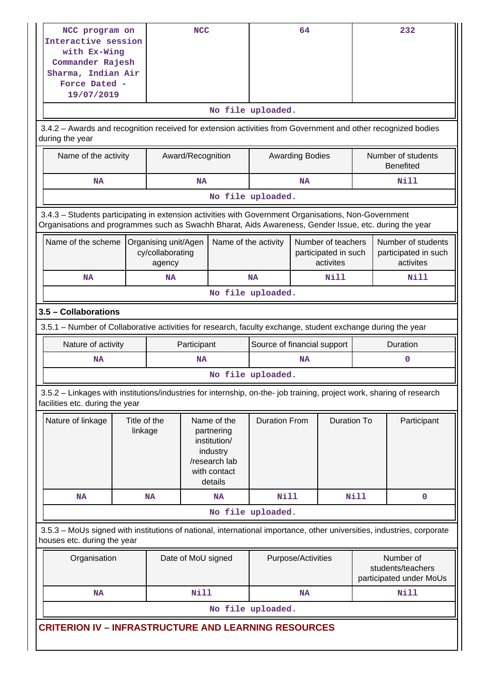| NCC program on                                                                                                                                           |                                                                              |           | <b>NCC</b>         |                                                                                                   |                      | 64                     |                                                         |                                                           |  | 232                                                     |
|----------------------------------------------------------------------------------------------------------------------------------------------------------|------------------------------------------------------------------------------|-----------|--------------------|---------------------------------------------------------------------------------------------------|----------------------|------------------------|---------------------------------------------------------|-----------------------------------------------------------|--|---------------------------------------------------------|
| Interactive session                                                                                                                                      |                                                                              |           |                    |                                                                                                   |                      |                        |                                                         |                                                           |  |                                                         |
| with Ex-Wing                                                                                                                                             |                                                                              |           |                    |                                                                                                   |                      |                        |                                                         |                                                           |  |                                                         |
| Commander Rajesh<br>Sharma, Indian Air                                                                                                                   |                                                                              |           |                    |                                                                                                   |                      |                        |                                                         |                                                           |  |                                                         |
| Force Dated -                                                                                                                                            |                                                                              |           |                    |                                                                                                   |                      |                        |                                                         |                                                           |  |                                                         |
| 19/07/2019                                                                                                                                               |                                                                              |           |                    |                                                                                                   |                      |                        |                                                         |                                                           |  |                                                         |
|                                                                                                                                                          |                                                                              |           |                    |                                                                                                   | No file uploaded.    |                        |                                                         |                                                           |  |                                                         |
| 3.4.2 - Awards and recognition received for extension activities from Government and other recognized bodies                                             |                                                                              |           |                    |                                                                                                   |                      |                        |                                                         |                                                           |  |                                                         |
| during the year                                                                                                                                          |                                                                              |           |                    |                                                                                                   |                      |                        |                                                         |                                                           |  |                                                         |
| Name of the activity                                                                                                                                     |                                                                              |           | Award/Recognition  |                                                                                                   |                      | <b>Awarding Bodies</b> |                                                         |                                                           |  | Number of students<br><b>Benefited</b>                  |
| <b>NA</b>                                                                                                                                                |                                                                              |           | <b>NA</b>          |                                                                                                   |                      | <b>NA</b>              |                                                         |                                                           |  | Nill                                                    |
|                                                                                                                                                          |                                                                              |           |                    |                                                                                                   | No file uploaded.    |                        |                                                         |                                                           |  |                                                         |
| 3.4.3 - Students participating in extension activities with Government Organisations, Non-Government                                                     |                                                                              |           |                    |                                                                                                   |                      |                        |                                                         |                                                           |  |                                                         |
| Organisations and programmes such as Swachh Bharat, Aids Awareness, Gender Issue, etc. during the year                                                   |                                                                              |           |                    |                                                                                                   |                      |                        |                                                         |                                                           |  |                                                         |
| Name of the scheme                                                                                                                                       | Organising unit/Agen<br>cy/collaborating<br>agency                           |           |                    |                                                                                                   | Name of the activity |                        | Number of teachers<br>participated in such<br>activites |                                                           |  | Number of students<br>participated in such<br>activites |
| <b>NA</b>                                                                                                                                                |                                                                              | <b>NA</b> |                    |                                                                                                   | <b>NA</b>            |                        | Nill                                                    |                                                           |  | Nill                                                    |
| No file uploaded.                                                                                                                                        |                                                                              |           |                    |                                                                                                   |                      |                        |                                                         |                                                           |  |                                                         |
| 3.5 - Collaborations                                                                                                                                     |                                                                              |           |                    |                                                                                                   |                      |                        |                                                         |                                                           |  |                                                         |
|                                                                                                                                                          |                                                                              |           |                    |                                                                                                   |                      |                        |                                                         |                                                           |  |                                                         |
| 3.5.1 – Number of Collaborative activities for research, faculty exchange, student exchange during the year                                              |                                                                              |           |                    |                                                                                                   |                      |                        |                                                         |                                                           |  |                                                         |
|                                                                                                                                                          | Nature of activity<br>Source of financial support<br>Duration<br>Participant |           |                    |                                                                                                   |                      |                        |                                                         |                                                           |  |                                                         |
| <b>NA</b>                                                                                                                                                |                                                                              |           | <b>NA</b>          |                                                                                                   |                      | <b>NA</b>              |                                                         |                                                           |  | $\mathbf 0$                                             |
|                                                                                                                                                          |                                                                              |           |                    |                                                                                                   | No file uploaded.    |                        |                                                         |                                                           |  |                                                         |
| 3.5.2 - Linkages with institutions/industries for internship, on-the- job training, project work, sharing of research<br>facilities etc. during the year |                                                                              |           |                    |                                                                                                   |                      |                        |                                                         |                                                           |  |                                                         |
| Nature of linkage                                                                                                                                        | Title of the<br>linkage                                                      |           |                    | Name of the<br>partnering<br>institution/<br>industry<br>/research lab<br>with contact<br>details | <b>Duration From</b> |                        | <b>Duration To</b>                                      |                                                           |  | Participant                                             |
| NA                                                                                                                                                       |                                                                              | <b>NA</b> |                    | <b>NA</b>                                                                                         | <b>Nill</b>          |                        |                                                         | <b>Nill</b>                                               |  | $\mathbf{0}$                                            |
|                                                                                                                                                          |                                                                              |           |                    |                                                                                                   | No file uploaded.    |                        |                                                         |                                                           |  |                                                         |
| 3.5.3 - MoUs signed with institutions of national, international importance, other universities, industries, corporate                                   |                                                                              |           |                    |                                                                                                   |                      |                        |                                                         |                                                           |  |                                                         |
| houses etc. during the year                                                                                                                              |                                                                              |           |                    |                                                                                                   |                      |                        |                                                         |                                                           |  |                                                         |
| Organisation                                                                                                                                             |                                                                              |           | Date of MoU signed |                                                                                                   |                      | Purpose/Activities     |                                                         | Number of<br>students/teachers<br>participated under MoUs |  |                                                         |
| <b>NA</b>                                                                                                                                                |                                                                              |           | <b>Nill</b>        |                                                                                                   |                      | <b>NA</b>              |                                                         |                                                           |  | <b>Nill</b>                                             |
|                                                                                                                                                          |                                                                              |           |                    |                                                                                                   | No file uploaded.    |                        |                                                         |                                                           |  |                                                         |
|                                                                                                                                                          |                                                                              |           |                    |                                                                                                   |                      |                        |                                                         |                                                           |  |                                                         |
| <b>CRITERION IV - INFRASTRUCTURE AND LEARNING RESOURCES</b>                                                                                              |                                                                              |           |                    |                                                                                                   |                      |                        |                                                         |                                                           |  |                                                         |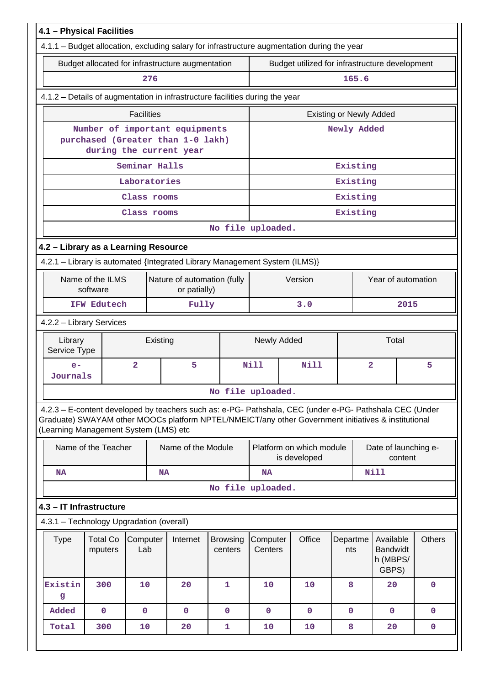|                                                                                                                                                                                                                                                         | 4.1 - Physical Facilities<br>4.1.1 - Budget allocation, excluding salary for infrastructure augmentation during the year |                   |           |                    |                            |         |                     |                                                |                                |                |                                                   |               |
|---------------------------------------------------------------------------------------------------------------------------------------------------------------------------------------------------------------------------------------------------------|--------------------------------------------------------------------------------------------------------------------------|-------------------|-----------|--------------------|----------------------------|---------|---------------------|------------------------------------------------|--------------------------------|----------------|---------------------------------------------------|---------------|
|                                                                                                                                                                                                                                                         |                                                                                                                          |                   |           |                    |                            |         |                     |                                                |                                |                |                                                   |               |
|                                                                                                                                                                                                                                                         | Budget allocated for infrastructure augmentation                                                                         |                   |           |                    |                            |         |                     | Budget utilized for infrastructure development |                                |                |                                                   |               |
|                                                                                                                                                                                                                                                         |                                                                                                                          |                   | 276       |                    |                            |         |                     |                                                | 165.6                          |                |                                                   |               |
|                                                                                                                                                                                                                                                         | 4.1.2 - Details of augmentation in infrastructure facilities during the year                                             |                   |           |                    |                            |         |                     |                                                |                                |                |                                                   |               |
|                                                                                                                                                                                                                                                         |                                                                                                                          | <b>Facilities</b> |           |                    |                            |         |                     |                                                | <b>Existing or Newly Added</b> |                |                                                   |               |
| Number of important equipments<br>purchased (Greater than 1-0 lakh)                                                                                                                                                                                     |                                                                                                                          |                   |           |                    |                            |         |                     |                                                | Newly Added                    |                |                                                   |               |
| during the current year<br>Seminar Halls                                                                                                                                                                                                                |                                                                                                                          |                   |           |                    |                            |         |                     |                                                | Existing                       |                |                                                   |               |
|                                                                                                                                                                                                                                                         |                                                                                                                          | Laboratories      |           |                    |                            |         |                     |                                                | Existing                       |                |                                                   |               |
|                                                                                                                                                                                                                                                         |                                                                                                                          | Class rooms       |           |                    |                            |         |                     |                                                | Existing                       |                |                                                   |               |
|                                                                                                                                                                                                                                                         |                                                                                                                          | Class rooms       |           |                    |                            |         |                     |                                                | Existing                       |                |                                                   |               |
|                                                                                                                                                                                                                                                         |                                                                                                                          |                   |           |                    | No file uploaded.          |         |                     |                                                |                                |                |                                                   |               |
| 4.2 - Library as a Learning Resource                                                                                                                                                                                                                    |                                                                                                                          |                   |           |                    |                            |         |                     |                                                |                                |                |                                                   |               |
| 4.2.1 - Library is automated {Integrated Library Management System (ILMS)}                                                                                                                                                                              |                                                                                                                          |                   |           |                    |                            |         |                     |                                                |                                |                |                                                   |               |
|                                                                                                                                                                                                                                                         | Name of the ILMS<br>Nature of automation (fully<br>software<br>or patially)                                              |                   |           |                    |                            | Version |                     | Year of automation                             |                                |                |                                                   |               |
|                                                                                                                                                                                                                                                         | IFW Edutech                                                                                                              |                   |           | Fully              |                            |         | 3.0                 |                                                |                                | 2015           |                                                   |               |
| 4.2.2 - Library Services                                                                                                                                                                                                                                |                                                                                                                          |                   |           |                    |                            |         |                     |                                                |                                |                |                                                   |               |
| Library<br>Service Type                                                                                                                                                                                                                                 |                                                                                                                          |                   | Existing  |                    |                            |         | Newly Added         |                                                | Total                          |                |                                                   |               |
| $e-$<br>Journals                                                                                                                                                                                                                                        |                                                                                                                          | $\overline{a}$    |           | 5                  |                            | Nill    |                     | Nill                                           |                                | $\overline{a}$ |                                                   | 5             |
|                                                                                                                                                                                                                                                         |                                                                                                                          |                   |           |                    | No file uploaded.          |         |                     |                                                |                                |                |                                                   |               |
| 4.2.3 - E-content developed by teachers such as: e-PG- Pathshala, CEC (under e-PG- Pathshala CEC (Under<br>Graduate) SWAYAM other MOOCs platform NPTEL/NMEICT/any other Government initiatives & institutional<br>(Learning Management System (LMS) etc |                                                                                                                          |                   |           |                    |                            |         |                     |                                                |                                |                |                                                   |               |
|                                                                                                                                                                                                                                                         | Name of the Teacher                                                                                                      |                   |           | Name of the Module |                            |         |                     | Platform on which module<br>is developed       |                                |                | Date of launching e-<br>content                   |               |
| NA                                                                                                                                                                                                                                                      |                                                                                                                          |                   | <b>NA</b> |                    |                            |         | <b>NA</b>           |                                                |                                | <b>Nill</b>    |                                                   |               |
|                                                                                                                                                                                                                                                         |                                                                                                                          |                   |           |                    | No file uploaded.          |         |                     |                                                |                                |                |                                                   |               |
| 4.3 - IT Infrastructure                                                                                                                                                                                                                                 |                                                                                                                          |                   |           |                    |                            |         |                     |                                                |                                |                |                                                   |               |
| 4.3.1 - Technology Upgradation (overall)                                                                                                                                                                                                                |                                                                                                                          |                   |           |                    |                            |         |                     |                                                |                                |                |                                                   |               |
| <b>Type</b>                                                                                                                                                                                                                                             | <b>Total Co</b><br>mputers                                                                                               | Computer<br>Lab   |           | Internet           | <b>Browsing</b><br>centers |         | Computer<br>Centers | Office                                         | Departme<br>nts                |                | Available<br><b>Bandwidt</b><br>h (MBPS/<br>GBPS) | <b>Others</b> |
| Existin<br>g                                                                                                                                                                                                                                            | 300                                                                                                                      | 10                |           | 20                 | 1                          |         | 10                  | 10                                             | 8                              |                | 20                                                | $\mathbf 0$   |
| Added                                                                                                                                                                                                                                                   | $\mathbf 0$                                                                                                              | $\mathbf 0$       |           | $\mathbf{0}$       | $\mathbf 0$                |         | $\mathbf 0$         | $\mathbf{0}$                                   | $\mathbf{0}$                   |                | $\mathbf{0}$                                      | $\mathbf 0$   |
| Total                                                                                                                                                                                                                                                   | 300                                                                                                                      | 10                |           | 20                 | $\mathbf{1}$               |         | 10                  | 10                                             | 8                              |                | 20                                                | $\mathbf 0$   |
|                                                                                                                                                                                                                                                         |                                                                                                                          |                   |           |                    |                            |         |                     |                                                |                                |                |                                                   |               |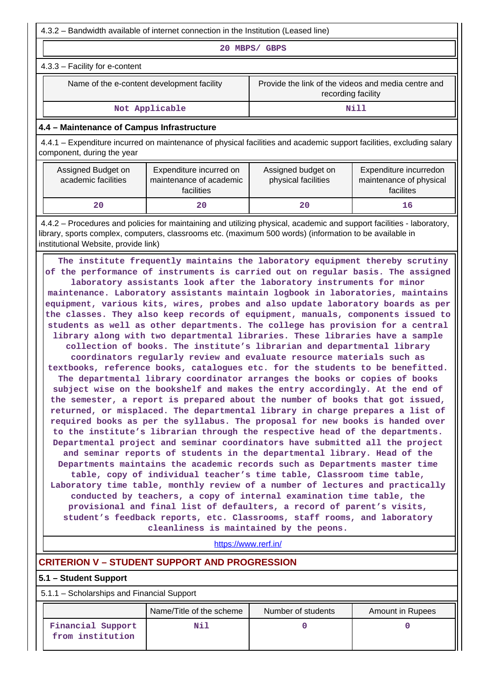4.3.2 – Bandwidth available of internet connection in the Institution (Leased line)

**20 MBPS/ GBPS**

4.3.3 – Facility for e-content

| Name of the e-content development facility |
|--------------------------------------------|
|                                            |

Provide the link of the videos and media centre and recording facility

Not Applicable **Nill** 

### **4.4 – Maintenance of Campus Infrastructure**

 4.4.1 – Expenditure incurred on maintenance of physical facilities and academic support facilities, excluding salary component, during the year

| Assigned Budget on<br>academic facilities | Expenditure incurred on<br>maintenance of academic<br>facilities | Assigned budget on<br>physical facilities | Expenditure incurredon<br>maintenance of physical<br>facilites |
|-------------------------------------------|------------------------------------------------------------------|-------------------------------------------|----------------------------------------------------------------|
| 20                                        | 20.                                                              | 20                                        | 16                                                             |

 4.4.2 – Procedures and policies for maintaining and utilizing physical, academic and support facilities - laboratory, library, sports complex, computers, classrooms etc. (maximum 500 words) (information to be available in institutional Website, provide link)

 **The institute frequently maintains the laboratory equipment thereby scrutiny of the performance of instruments is carried out on regular basis. The assigned laboratory assistants look after the laboratory instruments for minor maintenance. Laboratory assistants maintain logbook in laboratories, maintains equipment, various kits, wires, probes and also update laboratory boards as per the classes. They also keep records of equipment, manuals, components issued to students as well as other departments. The college has provision for a central library along with two departmental libraries. These libraries have a sample collection of books. The institute's librarian and departmental library coordinators regularly review and evaluate resource materials such as textbooks, reference books, catalogues etc. for the students to be benefitted. The departmental library coordinator arranges the books or copies of books subject wise on the bookshelf and makes the entry accordingly. At the end of the semester, a report is prepared about the number of books that got issued, returned, or misplaced. The departmental library in charge prepares a list of required books as per the syllabus. The proposal for new books is handed over to the institute's librarian through the respective head of the departments. Departmental project and seminar coordinators have submitted all the project and seminar reports of students in the departmental library. Head of the Departments maintains the academic records such as Departments master time table, copy of individual teacher's time table, Classroom time table, Laboratory time table, monthly review of a number of lectures and practically conducted by teachers, a copy of internal examination time table, the provisional and final list of defaulters, a record of parent's visits, student's feedback reports, etc. Classrooms, staff rooms, and laboratory cleanliness is maintained by the peons.**

https://www.rerf.in/

# **CRITERION V – STUDENT SUPPORT AND PROGRESSION**

### **5.1 – Student Support**

5.1.1 – Scholarships and Financial Support

|                                       | Name/Title of the scheme | Number of students | Amount in Rupees |
|---------------------------------------|--------------------------|--------------------|------------------|
| Financial Support<br>from institution | Nil                      |                    |                  |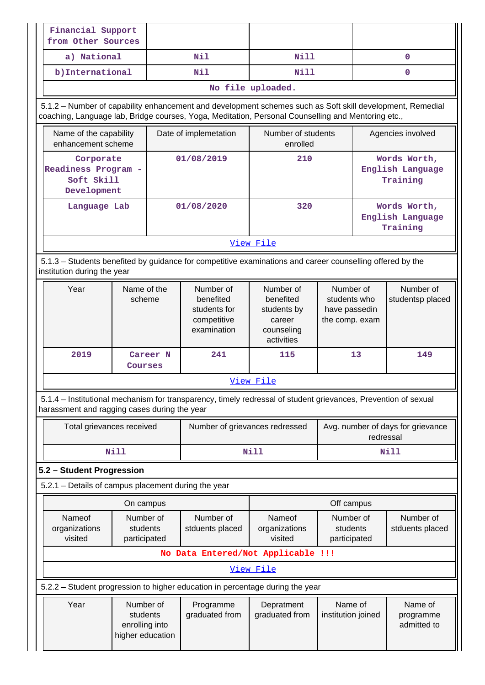| Financial Support<br>from Other Sources                                                                                                                                                                         |                                                             |  |                                                                      |                                                                                                                                             |                                       |                                                |                                              |  |
|-----------------------------------------------------------------------------------------------------------------------------------------------------------------------------------------------------------------|-------------------------------------------------------------|--|----------------------------------------------------------------------|---------------------------------------------------------------------------------------------------------------------------------------------|---------------------------------------|------------------------------------------------|----------------------------------------------|--|
| a) National                                                                                                                                                                                                     |                                                             |  | Nil                                                                  | Nill                                                                                                                                        |                                       |                                                | $\mathbf{0}$                                 |  |
| b) International                                                                                                                                                                                                |                                                             |  | Nil                                                                  | Nill                                                                                                                                        |                                       |                                                | $\mathbf 0$                                  |  |
|                                                                                                                                                                                                                 |                                                             |  |                                                                      | No file uploaded.                                                                                                                           |                                       |                                                |                                              |  |
| 5.1.2 - Number of capability enhancement and development schemes such as Soft skill development, Remedial<br>coaching, Language lab, Bridge courses, Yoga, Meditation, Personal Counselling and Mentoring etc., |                                                             |  |                                                                      |                                                                                                                                             |                                       |                                                |                                              |  |
| Name of the capability<br>enhancement scheme                                                                                                                                                                    |                                                             |  | Date of implemetation                                                | Number of students<br>enrolled                                                                                                              |                                       |                                                | Agencies involved                            |  |
| Corporate<br>Readiness Program -<br>Soft Skill<br>Development                                                                                                                                                   |                                                             |  | 01/08/2019                                                           | 210                                                                                                                                         |                                       |                                                | Words Worth,<br>English Language<br>Training |  |
| Language Lab                                                                                                                                                                                                    |                                                             |  | 01/08/2020                                                           | 320                                                                                                                                         |                                       |                                                | Words Worth,<br>English Language<br>Training |  |
|                                                                                                                                                                                                                 |                                                             |  |                                                                      | View File                                                                                                                                   |                                       |                                                |                                              |  |
| 5.1.3 – Students benefited by guidance for competitive examinations and career counselling offered by the<br>institution during the year                                                                        |                                                             |  |                                                                      |                                                                                                                                             |                                       |                                                |                                              |  |
| Year                                                                                                                                                                                                            | Name of the<br>scheme                                       |  | Number of<br>benefited<br>students for<br>competitive<br>examination | Number of<br>Number of<br>benefited<br>students who<br>students by<br>have passedin<br>the comp. exam<br>career<br>counseling<br>activities |                                       |                                                | Number of<br>studentsp placed                |  |
| 2019                                                                                                                                                                                                            | Career N<br>Courses                                         |  | 241                                                                  | 115                                                                                                                                         | 13                                    |                                                | 149                                          |  |
|                                                                                                                                                                                                                 |                                                             |  |                                                                      | View File                                                                                                                                   |                                       |                                                |                                              |  |
| 5.1.4 – Institutional mechanism for transparency, timely redressal of student grievances, Prevention of sexual<br>harassment and ragging cases during the year                                                  |                                                             |  |                                                                      |                                                                                                                                             |                                       |                                                |                                              |  |
| Total grievances received                                                                                                                                                                                       |                                                             |  | Number of grievances redressed                                       |                                                                                                                                             |                                       | Avg. number of days for grievance<br>redressal |                                              |  |
|                                                                                                                                                                                                                 | Nill                                                        |  |                                                                      | <b>Nill</b>                                                                                                                                 |                                       |                                                | <b>Nill</b>                                  |  |
| 5.2 - Student Progression                                                                                                                                                                                       |                                                             |  |                                                                      |                                                                                                                                             |                                       |                                                |                                              |  |
| 5.2.1 - Details of campus placement during the year                                                                                                                                                             |                                                             |  |                                                                      |                                                                                                                                             |                                       |                                                |                                              |  |
|                                                                                                                                                                                                                 | On campus                                                   |  |                                                                      |                                                                                                                                             | Off campus                            |                                                |                                              |  |
| Nameof<br>organizations<br>visited                                                                                                                                                                              | Number of<br>students<br>participated                       |  | Number of<br>stduents placed                                         | Nameof<br>organizations<br>visited                                                                                                          | Number of<br>students<br>participated |                                                | Number of<br>stduents placed                 |  |
|                                                                                                                                                                                                                 |                                                             |  |                                                                      | No Data Entered/Not Applicable !!!                                                                                                          |                                       |                                                |                                              |  |
|                                                                                                                                                                                                                 |                                                             |  |                                                                      | View File                                                                                                                                   |                                       |                                                |                                              |  |
| 5.2.2 - Student progression to higher education in percentage during the year                                                                                                                                   |                                                             |  |                                                                      |                                                                                                                                             |                                       |                                                |                                              |  |
| Year                                                                                                                                                                                                            | Number of<br>students<br>enrolling into<br>higher education |  | Programme<br>graduated from                                          | Depratment<br>graduated from                                                                                                                | Name of<br>institution joined         |                                                | Name of<br>programme<br>admitted to          |  |
|                                                                                                                                                                                                                 |                                                             |  |                                                                      |                                                                                                                                             |                                       |                                                |                                              |  |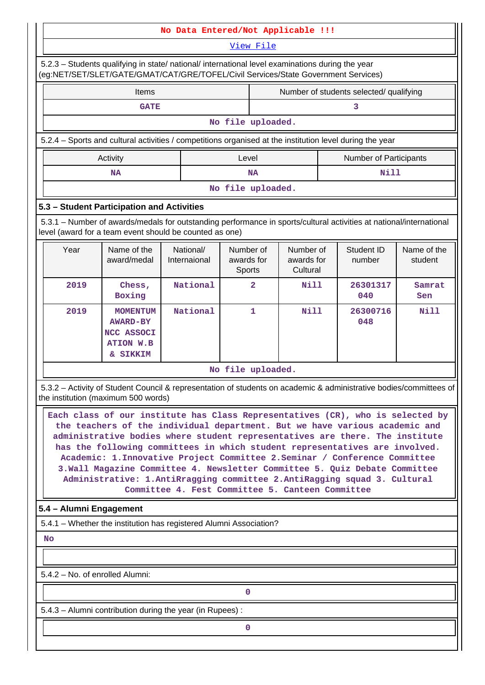### **No Data Entered/Not Applicable !!!**

View File

 5.2.3 – Students qualifying in state/ national/ international level examinations during the year (eg:NET/SET/SLET/GATE/GMAT/CAT/GRE/TOFEL/Civil Services/State Government Services)

| Items                                                                                                    |       | Number of students selected/ qualifying |                               |  |  |  |  |
|----------------------------------------------------------------------------------------------------------|-------|-----------------------------------------|-------------------------------|--|--|--|--|
| <b>GATE</b>                                                                                              |       |                                         |                               |  |  |  |  |
| No file uploaded.                                                                                        |       |                                         |                               |  |  |  |  |
| 5.2.4 – Sports and cultural activities / competitions organised at the institution level during the year |       |                                         |                               |  |  |  |  |
| Activity                                                                                                 | Level |                                         | <b>Number of Participants</b> |  |  |  |  |
| ΝA                                                                                                       |       | <b>NA</b>                               | Nill                          |  |  |  |  |
| No file uploaded.                                                                                        |       |                                         |                               |  |  |  |  |

### **5.3 – Student Participation and Activities**

 5.3.1 – Number of awards/medals for outstanding performance in sports/cultural activities at national/international level (award for a team event should be counted as one)

| Year | Name of the<br>award/medal                                                                  | National/<br>Internaional | Number of<br>awards for<br>Sports | Number of<br>awards for<br>Cultural | Student ID<br>number | Name of the<br>student |  |  |  |  |
|------|---------------------------------------------------------------------------------------------|---------------------------|-----------------------------------|-------------------------------------|----------------------|------------------------|--|--|--|--|
| 2019 | Chess,<br>Boxing                                                                            | National                  | $\overline{a}$                    | Nill                                | 26301317<br>040      | Samrat<br>Sen          |  |  |  |  |
| 2019 | <b>MOMENTUM</b><br><b>AWARD-BY</b><br>NCC ASSOCI<br><b>ATION W.B</b><br><b>SIKKIM</b><br>&. | National                  | 1                                 | Nill                                | 26300716<br>048      | Nill                   |  |  |  |  |
|      | No file uploaded.                                                                           |                           |                                   |                                     |                      |                        |  |  |  |  |

 5.3.2 – Activity of Student Council & representation of students on academic & administrative bodies/committees of the institution (maximum 500 words)

 **Each class of our institute has Class Representatives (CR), who is selected by the teachers of the individual department. But we have various academic and administrative bodies where student representatives are there. The institute has the following committees in which student representatives are involved. Academic: 1.Innovative Project Committee 2.Seminar / Conference Committee 3.Wall Magazine Committee 4. Newsletter Committee 5. Quiz Debate Committee Administrative: 1.AntiRragging committee 2.AntiRagging squad 3. Cultural Committee 4. Fest Committee 5. Canteen Committee**

# **5.4 – Alumni Engagement**

5.4.1 – Whether the institution has registered Alumni Association?

 **No**

5.4.2 – No. of enrolled Alumni:

**0**

5.4.3 – Alumni contribution during the year (in Rupees) :

**0**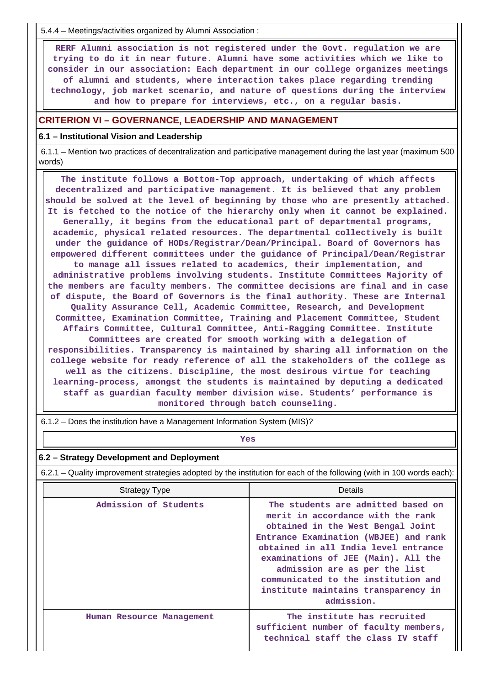5.4.4 – Meetings/activities organized by Alumni Association :

 **RERF Alumni association is not registered under the Govt. regulation we are trying to do it in near future. Alumni have some activities which we like to consider in our association: Each department in our college organizes meetings of alumni and students, where interaction takes place regarding trending technology, job market scenario, and nature of questions during the interview and how to prepare for interviews, etc., on a regular basis.**

### **CRITERION VI – GOVERNANCE, LEADERSHIP AND MANAGEMENT**

#### **6.1 – Institutional Vision and Leadership**

 6.1.1 – Mention two practices of decentralization and participative management during the last year (maximum 500 words)

 **The institute follows a Bottom-Top approach, undertaking of which affects decentralized and participative management. It is believed that any problem should be solved at the level of beginning by those who are presently attached. It is fetched to the notice of the hierarchy only when it cannot be explained. Generally, it begins from the educational part of departmental programs, academic, physical related resources. The departmental collectively is built under the guidance of HODs/Registrar/Dean/Principal. Board of Governors has empowered different committees under the guidance of Principal/Dean/Registrar to manage all issues related to academics, their implementation, and administrative problems involving students. Institute Committees Majority of the members are faculty members. The committee decisions are final and in case of dispute, the Board of Governors is the final authority. These are Internal Quality Assurance Cell, Academic Committee, Research, and Development Committee, Examination Committee, Training and Placement Committee, Student Affairs Committee, Cultural Committee, Anti-Ragging Committee. Institute Committees are created for smooth working with a delegation of responsibilities. Transparency is maintained by sharing all information on the college website for ready reference of all the stakeholders of the college as well as the citizens. Discipline, the most desirous virtue for teaching learning-process, amongst the students is maintained by deputing a dedicated staff as guardian faculty member division wise. Students' performance is monitored through batch counseling.**

| Yes                                                                                                                   |                                                                                                                                                                                                                                                                                                                                                                   |  |  |  |  |  |  |  |
|-----------------------------------------------------------------------------------------------------------------------|-------------------------------------------------------------------------------------------------------------------------------------------------------------------------------------------------------------------------------------------------------------------------------------------------------------------------------------------------------------------|--|--|--|--|--|--|--|
| 6.2 - Strategy Development and Deployment                                                                             |                                                                                                                                                                                                                                                                                                                                                                   |  |  |  |  |  |  |  |
| 6.2.1 – Quality improvement strategies adopted by the institution for each of the following (with in 100 words each): |                                                                                                                                                                                                                                                                                                                                                                   |  |  |  |  |  |  |  |
| <b>Strategy Type</b>                                                                                                  | Details                                                                                                                                                                                                                                                                                                                                                           |  |  |  |  |  |  |  |
| Admission of Students                                                                                                 | The students are admitted based on<br>merit in accordance with the rank<br>obtained in the West Bengal Joint<br>Entrance Examination (WBJEE) and rank<br>obtained in all India level entrance<br>examinations of JEE (Main). All the<br>admission are as per the list<br>communicated to the institution and<br>institute maintains transparency in<br>admission. |  |  |  |  |  |  |  |
| Human Resource Management                                                                                             | The institute has recruited<br>sufficient number of faculty members,<br>technical staff the class IV staff                                                                                                                                                                                                                                                        |  |  |  |  |  |  |  |

6.1.2 – Does the institution have a Management Information System (MIS)?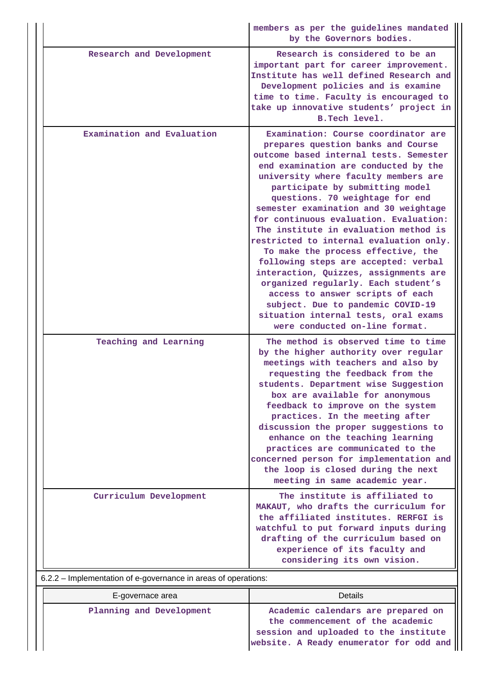|                                                                | members as per the guidelines mandated<br>by the Governors bodies.                                                                                                                                                                                                                                                                                                                                                                                                                                                                                                                                                                                                                                                                                                |  |  |  |  |  |
|----------------------------------------------------------------|-------------------------------------------------------------------------------------------------------------------------------------------------------------------------------------------------------------------------------------------------------------------------------------------------------------------------------------------------------------------------------------------------------------------------------------------------------------------------------------------------------------------------------------------------------------------------------------------------------------------------------------------------------------------------------------------------------------------------------------------------------------------|--|--|--|--|--|
| Research and Development                                       | Research is considered to be an<br>important part for career improvement.<br>Institute has well defined Research and<br>Development policies and is examine<br>time to time. Faculty is encouraged to<br>take up innovative students' project in<br>B. Tech level.                                                                                                                                                                                                                                                                                                                                                                                                                                                                                                |  |  |  |  |  |
| Examination and Evaluation                                     | Examination: Course coordinator are<br>prepares question banks and Course<br>outcome based internal tests. Semester<br>end examination are conducted by the<br>university where faculty members are<br>participate by submitting model<br>questions. 70 weightage for end<br>semester examination and 30 weightage<br>for continuous evaluation. Evaluation:<br>The institute in evaluation method is<br>restricted to internal evaluation only.<br>To make the process effective, the<br>following steps are accepted: verbal<br>interaction, Quizzes, assignments are<br>organized regularly. Each student's<br>access to answer scripts of each<br>subject. Due to pandemic COVID-19<br>situation internal tests, oral exams<br>were conducted on-line format. |  |  |  |  |  |
| Teaching and Learning                                          | The method is observed time to time<br>by the higher authority over regular<br>meetings with teachers and also by<br>requesting the feedback from the<br>students. Department wise Suggestion<br>box are available for anonymous<br>feedback to improve on the system<br>practices. In the meeting after<br>discussion the proper suggestions to<br>enhance on the teaching learning<br>practices are communicated to the<br>concerned person for implementation and<br>the loop is closed during the next<br>meeting in same academic year.                                                                                                                                                                                                                      |  |  |  |  |  |
| Curriculum Development                                         | The institute is affiliated to<br>MAKAUT, who drafts the curriculum for<br>the affiliated institutes. RERFGI is<br>watchful to put forward inputs during<br>drafting of the curriculum based on<br>experience of its faculty and<br>considering its own vision.                                                                                                                                                                                                                                                                                                                                                                                                                                                                                                   |  |  |  |  |  |
| 6.2.2 – Implementation of e-governance in areas of operations: |                                                                                                                                                                                                                                                                                                                                                                                                                                                                                                                                                                                                                                                                                                                                                                   |  |  |  |  |  |

| E-governace area         | Details                                                                                                                                                    |  |  |  |  |  |
|--------------------------|------------------------------------------------------------------------------------------------------------------------------------------------------------|--|--|--|--|--|
| Planning and Development | Academic calendars are prepared on<br>the commencement of the academic<br>session and uploaded to the institute<br>website. A Ready enumerator for odd and |  |  |  |  |  |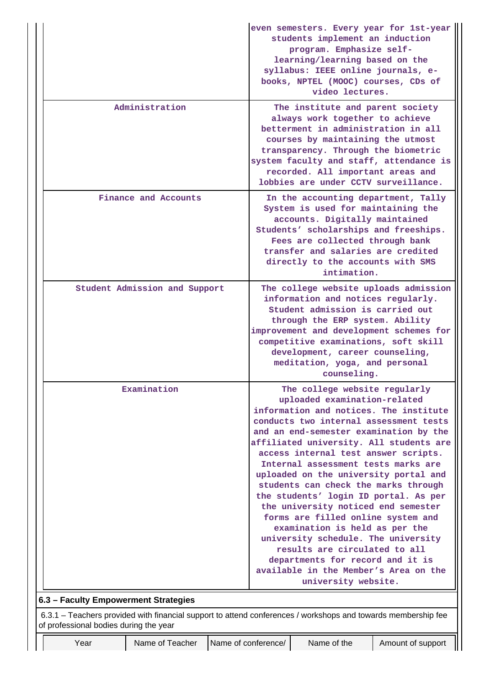|                                        |                                                                                                               |                     | even semesters. Every year for 1st-year<br>students implement an induction<br>program. Emphasize self-<br>learning/learning based on the<br>syllabus: IEEE online journals, e-<br>books, NPTEL (MOOC) courses, CDs of                                                                                                     |                                                                                                                                                                                                                                                                                                                                                                                                                                                                                                                                                                                                                                                                                                                                            |                   |  |  |  |
|----------------------------------------|---------------------------------------------------------------------------------------------------------------|---------------------|---------------------------------------------------------------------------------------------------------------------------------------------------------------------------------------------------------------------------------------------------------------------------------------------------------------------------|--------------------------------------------------------------------------------------------------------------------------------------------------------------------------------------------------------------------------------------------------------------------------------------------------------------------------------------------------------------------------------------------------------------------------------------------------------------------------------------------------------------------------------------------------------------------------------------------------------------------------------------------------------------------------------------------------------------------------------------------|-------------------|--|--|--|
|                                        |                                                                                                               |                     |                                                                                                                                                                                                                                                                                                                           | video lectures.                                                                                                                                                                                                                                                                                                                                                                                                                                                                                                                                                                                                                                                                                                                            |                   |  |  |  |
|                                        | Administration                                                                                                |                     | The institute and parent society<br>always work together to achieve<br>betterment in administration in all<br>courses by maintaining the utmost<br>transparency. Through the biometric<br>system faculty and staff, attendance is<br>recorded. All important areas and<br>lobbies are under CCTV surveillance.            |                                                                                                                                                                                                                                                                                                                                                                                                                                                                                                                                                                                                                                                                                                                                            |                   |  |  |  |
|                                        | Finance and Accounts                                                                                          |                     | In the accounting department, Tally<br>System is used for maintaining the<br>accounts. Digitally maintained<br>Students' scholarships and freeships.<br>Fees are collected through bank<br>transfer and salaries are credited<br>directly to the accounts with SMS<br>intimation.                                         |                                                                                                                                                                                                                                                                                                                                                                                                                                                                                                                                                                                                                                                                                                                                            |                   |  |  |  |
|                                        | Student Admission and Support                                                                                 |                     | The college website uploads admission<br>information and notices regularly.<br>Student admission is carried out<br>through the ERP system. Ability<br>improvement and development schemes for<br>competitive examinations, soft skill<br>development, career counseling,<br>meditation, yoga, and personal<br>counseling. |                                                                                                                                                                                                                                                                                                                                                                                                                                                                                                                                                                                                                                                                                                                                            |                   |  |  |  |
|                                        | Examination                                                                                                   |                     |                                                                                                                                                                                                                                                                                                                           | The college website regularly<br>uploaded examination-related<br>information and notices. The institute<br>conducts two internal assessment tests<br>and an end-semester examination by the<br>affiliated university. All students are<br>access internal test answer scripts.<br>Internal assessment tests marks are<br>uploaded on the university portal and<br>students can check the marks through<br>the students' login ID portal. As per<br>the university noticed end semester<br>forms are filled online system and<br>examination is held as per the<br>university schedule. The university<br>results are circulated to all<br>departments for record and it is<br>available in the Member's Area on the<br>university website. |                   |  |  |  |
| 6.3 - Faculty Empowerment Strategies   |                                                                                                               |                     |                                                                                                                                                                                                                                                                                                                           |                                                                                                                                                                                                                                                                                                                                                                                                                                                                                                                                                                                                                                                                                                                                            |                   |  |  |  |
| of professional bodies during the year | 6.3.1 - Teachers provided with financial support to attend conferences / workshops and towards membership fee |                     |                                                                                                                                                                                                                                                                                                                           |                                                                                                                                                                                                                                                                                                                                                                                                                                                                                                                                                                                                                                                                                                                                            |                   |  |  |  |
| Year                                   | Name of Teacher                                                                                               | Name of conference/ |                                                                                                                                                                                                                                                                                                                           | Name of the                                                                                                                                                                                                                                                                                                                                                                                                                                                                                                                                                                                                                                                                                                                                | Amount of support |  |  |  |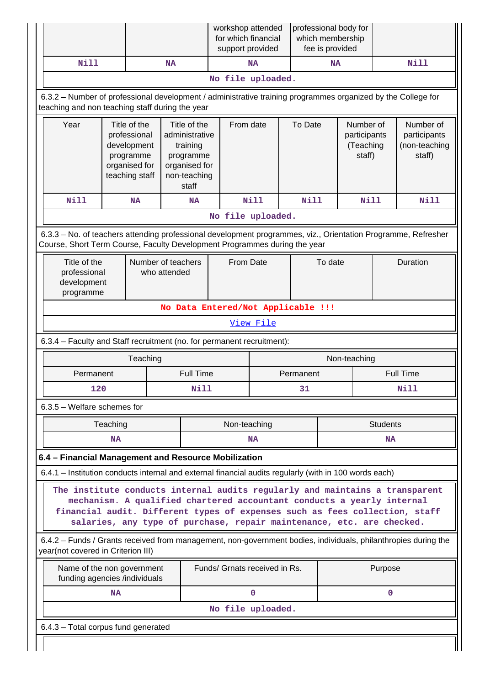|                                                                                                                                                                                            |                                                                                                                                                                                                                                                                                                                |           | workshop attended<br>for which financial<br>support provided |                                                                                                                |           | professional body for<br>which membership<br>fee is provided |             |      |                                                  |              |                                                      |                  |
|--------------------------------------------------------------------------------------------------------------------------------------------------------------------------------------------|----------------------------------------------------------------------------------------------------------------------------------------------------------------------------------------------------------------------------------------------------------------------------------------------------------------|-----------|--------------------------------------------------------------|----------------------------------------------------------------------------------------------------------------|-----------|--------------------------------------------------------------|-------------|------|--------------------------------------------------|--------------|------------------------------------------------------|------------------|
|                                                                                                                                                                                            | <b>Nill</b>                                                                                                                                                                                                                                                                                                    |           |                                                              | <b>NA</b>                                                                                                      |           |                                                              | <b>NA</b>   |      | <b>NA</b>                                        |              |                                                      | <b>Nill</b>      |
|                                                                                                                                                                                            |                                                                                                                                                                                                                                                                                                                |           |                                                              |                                                                                                                |           | No file uploaded.                                            |             |      |                                                  |              |                                                      |                  |
|                                                                                                                                                                                            | 6.3.2 - Number of professional development / administrative training programmes organized by the College for<br>teaching and non teaching staff during the year                                                                                                                                                |           |                                                              |                                                                                                                |           |                                                              |             |      |                                                  |              |                                                      |                  |
|                                                                                                                                                                                            | Year<br>Title of the<br>professional<br>development<br>programme<br>organised for<br>teaching staff                                                                                                                                                                                                            |           |                                                              | Title of the<br>From date<br>administrative<br>training<br>programme<br>organised for<br>non-teaching<br>staff |           |                                                              | To Date     |      | Number of<br>participants<br>(Teaching<br>staff) |              | Number of<br>participants<br>(non-teaching<br>staff) |                  |
|                                                                                                                                                                                            | <b>Nill</b>                                                                                                                                                                                                                                                                                                    |           | <b>NA</b>                                                    |                                                                                                                | <b>NA</b> |                                                              | <b>Nill</b> | Nill |                                                  | Nill         |                                                      | Nill             |
|                                                                                                                                                                                            |                                                                                                                                                                                                                                                                                                                |           |                                                              |                                                                                                                |           | No file uploaded.                                            |             |      |                                                  |              |                                                      |                  |
| 6.3.3 - No. of teachers attending professional development programmes, viz., Orientation Programme, Refresher<br>Course, Short Term Course, Faculty Development Programmes during the year |                                                                                                                                                                                                                                                                                                                |           |                                                              |                                                                                                                |           |                                                              |             |      |                                                  |              |                                                      |                  |
|                                                                                                                                                                                            | Title of the<br>professional<br>development<br>programme                                                                                                                                                                                                                                                       |           | Number of teachers                                           | who attended                                                                                                   |           |                                                              | From Date   |      | To date                                          |              | Duration                                             |                  |
|                                                                                                                                                                                            |                                                                                                                                                                                                                                                                                                                |           |                                                              |                                                                                                                |           | No Data Entered/Not Applicable !!!                           |             |      |                                                  |              |                                                      |                  |
|                                                                                                                                                                                            |                                                                                                                                                                                                                                                                                                                |           |                                                              |                                                                                                                |           |                                                              | View File   |      |                                                  |              |                                                      |                  |
|                                                                                                                                                                                            | 6.3.4 - Faculty and Staff recruitment (no. for permanent recruitment):                                                                                                                                                                                                                                         |           |                                                              |                                                                                                                |           |                                                              |             |      |                                                  |              |                                                      |                  |
|                                                                                                                                                                                            |                                                                                                                                                                                                                                                                                                                |           | Teaching                                                     |                                                                                                                |           |                                                              |             |      |                                                  | Non-teaching |                                                      |                  |
|                                                                                                                                                                                            | Permanent                                                                                                                                                                                                                                                                                                      |           |                                                              |                                                                                                                | Full Time | Permanent                                                    |             |      |                                                  |              |                                                      | <b>Full Time</b> |
|                                                                                                                                                                                            | 120                                                                                                                                                                                                                                                                                                            |           |                                                              |                                                                                                                | Nill      |                                                              |             | 31   |                                                  |              |                                                      | Nill             |
|                                                                                                                                                                                            | 6.3.5 - Welfare schemes for                                                                                                                                                                                                                                                                                    |           |                                                              |                                                                                                                |           |                                                              |             |      |                                                  |              |                                                      |                  |
|                                                                                                                                                                                            |                                                                                                                                                                                                                                                                                                                | Teaching  |                                                              |                                                                                                                |           | Non-teaching                                                 |             |      |                                                  |              | <b>Students</b>                                      |                  |
|                                                                                                                                                                                            |                                                                                                                                                                                                                                                                                                                | <b>NA</b> |                                                              |                                                                                                                |           |                                                              | <b>NA</b>   |      |                                                  |              | <b>NA</b>                                            |                  |
|                                                                                                                                                                                            | 6.4 - Financial Management and Resource Mobilization                                                                                                                                                                                                                                                           |           |                                                              |                                                                                                                |           |                                                              |             |      |                                                  |              |                                                      |                  |
|                                                                                                                                                                                            | 6.4.1 - Institution conducts internal and external financial audits regularly (with in 100 words each)                                                                                                                                                                                                         |           |                                                              |                                                                                                                |           |                                                              |             |      |                                                  |              |                                                      |                  |
|                                                                                                                                                                                            | The institute conducts internal audits regularly and maintains a transparent<br>mechanism. A qualified chartered accountant conducts a yearly internal<br>financial audit. Different types of expenses such as fees collection, staff<br>salaries, any type of purchase, repair maintenance, etc. are checked. |           |                                                              |                                                                                                                |           |                                                              |             |      |                                                  |              |                                                      |                  |
|                                                                                                                                                                                            | 6.4.2 - Funds / Grants received from management, non-government bodies, individuals, philanthropies during the<br>year(not covered in Criterion III)                                                                                                                                                           |           |                                                              |                                                                                                                |           |                                                              |             |      |                                                  |              |                                                      |                  |
|                                                                                                                                                                                            | Funds/ Grnats received in Rs.<br>Name of the non government<br>Purpose<br>funding agencies /individuals                                                                                                                                                                                                        |           |                                                              |                                                                                                                |           |                                                              |             |      |                                                  |              |                                                      |                  |
|                                                                                                                                                                                            |                                                                                                                                                                                                                                                                                                                | <b>NA</b> |                                                              |                                                                                                                |           |                                                              | 0           |      |                                                  |              | $\mathbf 0$                                          |                  |
|                                                                                                                                                                                            |                                                                                                                                                                                                                                                                                                                |           |                                                              |                                                                                                                |           | No file uploaded.                                            |             |      |                                                  |              |                                                      |                  |
|                                                                                                                                                                                            | 6.4.3 - Total corpus fund generated                                                                                                                                                                                                                                                                            |           |                                                              |                                                                                                                |           |                                                              |             |      |                                                  |              |                                                      |                  |
|                                                                                                                                                                                            |                                                                                                                                                                                                                                                                                                                |           |                                                              |                                                                                                                |           |                                                              |             |      |                                                  |              |                                                      |                  |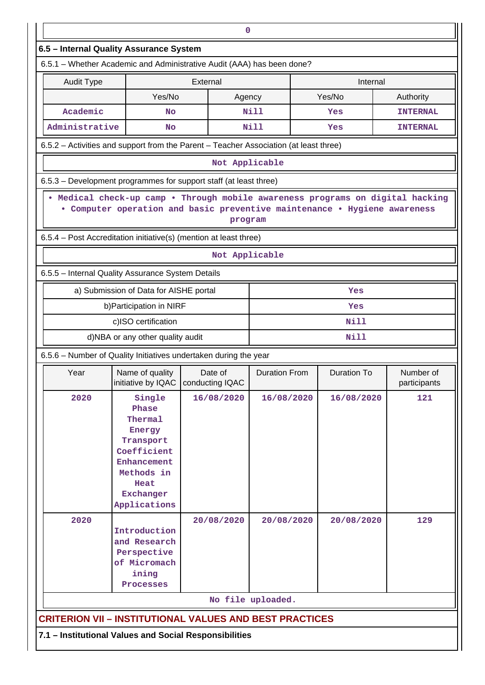| $\mathbf 0$                                                                                                                                                                                 |                                                                                                                                                             |                |                      |                    |                           |  |  |  |  |  |
|---------------------------------------------------------------------------------------------------------------------------------------------------------------------------------------------|-------------------------------------------------------------------------------------------------------------------------------------------------------------|----------------|----------------------|--------------------|---------------------------|--|--|--|--|--|
| 6.5 - Internal Quality Assurance System                                                                                                                                                     |                                                                                                                                                             |                |                      |                    |                           |  |  |  |  |  |
| 6.5.1 - Whether Academic and Administrative Audit (AAA) has been done?                                                                                                                      |                                                                                                                                                             |                |                      |                    |                           |  |  |  |  |  |
| <b>Audit Type</b>                                                                                                                                                                           |                                                                                                                                                             | External       |                      | Internal           |                           |  |  |  |  |  |
|                                                                                                                                                                                             | Yes/No                                                                                                                                                      | Agency         |                      | Yes/No             | Authority                 |  |  |  |  |  |
| Academic                                                                                                                                                                                    | No                                                                                                                                                          |                | <b>Nill</b>          | Yes                | <b>INTERNAL</b>           |  |  |  |  |  |
| Administrative                                                                                                                                                                              | No                                                                                                                                                          |                | Nill                 | Yes                | <b>INTERNAL</b>           |  |  |  |  |  |
|                                                                                                                                                                                             | 6.5.2 - Activities and support from the Parent - Teacher Association (at least three)                                                                       |                |                      |                    |                           |  |  |  |  |  |
| Not Applicable                                                                                                                                                                              |                                                                                                                                                             |                |                      |                    |                           |  |  |  |  |  |
|                                                                                                                                                                                             | 6.5.3 – Development programmes for support staff (at least three)                                                                                           |                |                      |                    |                           |  |  |  |  |  |
|                                                                                                                                                                                             | . Medical check-up camp . Through mobile awareness programs on digital hacking<br>• Computer operation and basic preventive maintenance • Hygiene awareness | program        |                      |                    |                           |  |  |  |  |  |
|                                                                                                                                                                                             | 6.5.4 - Post Accreditation initiative(s) (mention at least three)                                                                                           |                |                      |                    |                           |  |  |  |  |  |
|                                                                                                                                                                                             |                                                                                                                                                             | Not Applicable |                      |                    |                           |  |  |  |  |  |
|                                                                                                                                                                                             | 6.5.5 - Internal Quality Assurance System Details                                                                                                           |                |                      |                    |                           |  |  |  |  |  |
|                                                                                                                                                                                             | a) Submission of Data for AISHE portal                                                                                                                      |                |                      | Yes                |                           |  |  |  |  |  |
|                                                                                                                                                                                             | b) Participation in NIRF                                                                                                                                    |                |                      | Yes                |                           |  |  |  |  |  |
|                                                                                                                                                                                             | c)ISO certification                                                                                                                                         |                |                      | Nill               |                           |  |  |  |  |  |
|                                                                                                                                                                                             | d)NBA or any other quality audit                                                                                                                            |                |                      | Nill               |                           |  |  |  |  |  |
|                                                                                                                                                                                             | 6.5.6 - Number of Quality Initiatives undertaken during the year                                                                                            |                |                      |                    |                           |  |  |  |  |  |
| Year                                                                                                                                                                                        | Name of quality<br>initiative by IQAC   conducting IQAC                                                                                                     | Date of        | <b>Duration From</b> | <b>Duration To</b> | Number of<br>participants |  |  |  |  |  |
| 2020<br>16/08/2020<br>16/08/2020<br>16/08/2020<br>Single<br>121<br>Phase<br>Thermal<br>Energy<br>Transport<br>Coefficient<br>Enhancement<br>Methods in<br>Heat<br>Exchanger<br>Applications |                                                                                                                                                             |                |                      |                    |                           |  |  |  |  |  |
| 2020<br>129<br>20/08/2020<br>20/08/2020<br>20/08/2020<br>Introduction<br>and Research<br>Perspective<br>of Micromach<br>ining<br>Processes                                                  |                                                                                                                                                             |                |                      |                    |                           |  |  |  |  |  |
|                                                                                                                                                                                             |                                                                                                                                                             |                | No file uploaded.    |                    |                           |  |  |  |  |  |
|                                                                                                                                                                                             | <b>CRITERION VII - INSTITUTIONAL VALUES AND BEST PRACTICES</b>                                                                                              |                |                      |                    |                           |  |  |  |  |  |
|                                                                                                                                                                                             | 7.1 - Institutional Values and Social Responsibilities                                                                                                      |                |                      |                    |                           |  |  |  |  |  |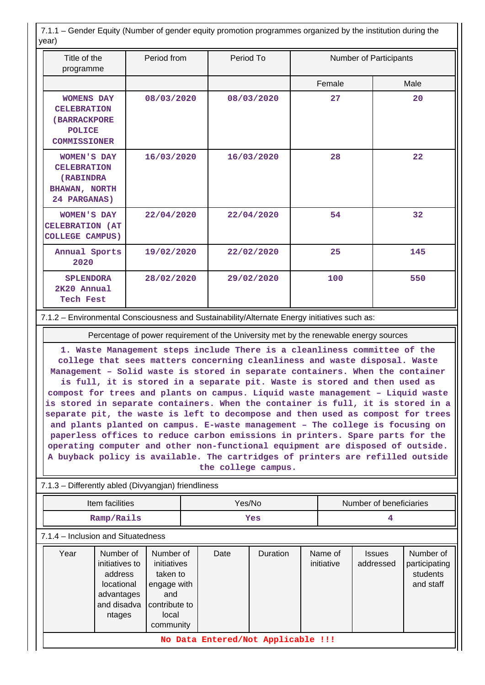7.1.1 – Gender Equity (Number of gender equity promotion programmes organized by the institution during the year)

| Title of the<br>programme                                                                       | Period from | Period To  | Number of Participants |      |
|-------------------------------------------------------------------------------------------------|-------------|------------|------------------------|------|
|                                                                                                 |             |            | Female                 | Male |
| <b>WOMENS DAY</b><br><b>CELEBRATION</b><br>(BARRACKPORE<br><b>POLICE</b><br><b>COMMISSIONER</b> | 08/03/2020  | 08/03/2020 | 27                     | 20   |
| <b>WOMEN'S DAY</b><br><b>CELEBRATION</b><br>(RABINDRA)<br><b>BHAWAN, NORTH</b><br>24 PARGANAS)  | 16/03/2020  | 16/03/2020 | 28                     | 22   |
| WOMEN'S DAY<br>CELEBRATION (AT<br><b>COLLEGE CAMPUS)</b>                                        | 22/04/2020  | 22/04/2020 | 54                     | 32   |
| Annual Sports<br>2020                                                                           | 19/02/2020  | 22/02/2020 | 25                     | 145  |
| <b>SPLENDORA</b><br>2K20 Annual<br><b>Tech Fest</b>                                             | 28/02/2020  | 29/02/2020 | 100                    | 550  |

7.1.2 – Environmental Consciousness and Sustainability/Alternate Energy initiatives such as:

Percentage of power requirement of the University met by the renewable energy sources

**1. Waste Management steps include There is a cleanliness committee of the college that sees matters concerning cleanliness and waste disposal. Waste Management – Solid waste is stored in separate containers. When the container is full, it is stored in a separate pit. Waste is stored and then used as compost for trees and plants on campus. Liquid waste management – Liquid waste is stored in separate containers. When the container is full, it is stored in a separate pit, the waste is left to decompose and then used as compost for trees and plants planted on campus. E-waste management – The college is focusing on paperless offices to reduce carbon emissions in printers. Spare parts for the operating computer and other non-functional equipment are disposed of outside. A buyback policy is available. The cartridges of printers are refilled outside the college campus.**

| Item facilities                    |                                                                                             |                                                                                                   | Yes/No |                                    |          | Number of beneficiaries |                       |                            |                                                     |
|------------------------------------|---------------------------------------------------------------------------------------------|---------------------------------------------------------------------------------------------------|--------|------------------------------------|----------|-------------------------|-----------------------|----------------------------|-----------------------------------------------------|
| Ramp/Rails                         |                                                                                             |                                                                                                   | Yes    |                                    |          | 4                       |                       |                            |                                                     |
| 7.1.4 - Inclusion and Situatedness |                                                                                             |                                                                                                   |        |                                    |          |                         |                       |                            |                                                     |
| Year                               | Number of<br>initiatives to<br>address<br>locational<br>advantages<br>and disadva<br>ntages | Number of<br>initiatives<br>taken to<br>engage with<br>and<br>contribute to<br>local<br>community |        | Date                               | Duration |                         | Name of<br>initiative | <b>Issues</b><br>addressed | Number of<br>participating<br>students<br>and staff |
|                                    |                                                                                             |                                                                                                   |        | No Data Entered/Not Applicable !!! |          |                         |                       |                            |                                                     |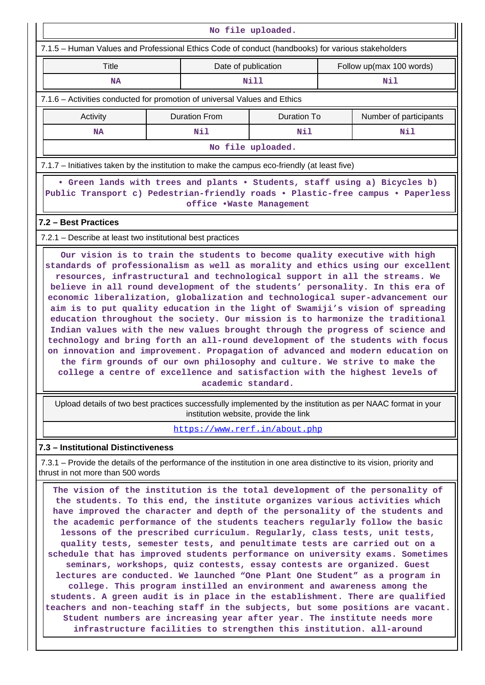| No file uploaded.                                                                                                                                                                                                                                                                                                                                                                                                                                                                                                                                                                                                                                                                                                                                                                                                                |                      |                          |                               |  |                          |  |  |  |  |  |
|----------------------------------------------------------------------------------------------------------------------------------------------------------------------------------------------------------------------------------------------------------------------------------------------------------------------------------------------------------------------------------------------------------------------------------------------------------------------------------------------------------------------------------------------------------------------------------------------------------------------------------------------------------------------------------------------------------------------------------------------------------------------------------------------------------------------------------|----------------------|--------------------------|-------------------------------|--|--------------------------|--|--|--|--|--|
|                                                                                                                                                                                                                                                                                                                                                                                                                                                                                                                                                                                                                                                                                                                                                                                                                                  |                      |                          |                               |  |                          |  |  |  |  |  |
| 7.1.5 - Human Values and Professional Ethics Code of conduct (handbooks) for various stakeholders                                                                                                                                                                                                                                                                                                                                                                                                                                                                                                                                                                                                                                                                                                                                |                      |                          |                               |  |                          |  |  |  |  |  |
| <b>Title</b>                                                                                                                                                                                                                                                                                                                                                                                                                                                                                                                                                                                                                                                                                                                                                                                                                     |                      | Date of publication      |                               |  | Follow up(max 100 words) |  |  |  |  |  |
| <b>NA</b>                                                                                                                                                                                                                                                                                                                                                                                                                                                                                                                                                                                                                                                                                                                                                                                                                        |                      |                          | Nill                          |  | Nil                      |  |  |  |  |  |
| 7.1.6 – Activities conducted for promotion of universal Values and Ethics                                                                                                                                                                                                                                                                                                                                                                                                                                                                                                                                                                                                                                                                                                                                                        |                      |                          |                               |  |                          |  |  |  |  |  |
| Activity                                                                                                                                                                                                                                                                                                                                                                                                                                                                                                                                                                                                                                                                                                                                                                                                                         | <b>Duration From</b> |                          | Duration To                   |  | Number of participants   |  |  |  |  |  |
| <b>NA</b>                                                                                                                                                                                                                                                                                                                                                                                                                                                                                                                                                                                                                                                                                                                                                                                                                        |                      | Nil                      | Nil                           |  | Nil                      |  |  |  |  |  |
|                                                                                                                                                                                                                                                                                                                                                                                                                                                                                                                                                                                                                                                                                                                                                                                                                                  |                      |                          | No file uploaded.             |  |                          |  |  |  |  |  |
| 7.1.7 – Initiatives taken by the institution to make the campus eco-friendly (at least five)                                                                                                                                                                                                                                                                                                                                                                                                                                                                                                                                                                                                                                                                                                                                     |                      |                          |                               |  |                          |  |  |  |  |  |
| • Green lands with trees and plants • Students, staff using a) Bicycles b)<br>Public Transport c) Pedestrian-friendly roads . Plastic-free campus . Paperless                                                                                                                                                                                                                                                                                                                                                                                                                                                                                                                                                                                                                                                                    |                      | office .Waste Management |                               |  |                          |  |  |  |  |  |
| 7.2 - Best Practices                                                                                                                                                                                                                                                                                                                                                                                                                                                                                                                                                                                                                                                                                                                                                                                                             |                      |                          |                               |  |                          |  |  |  |  |  |
| 7.2.1 – Describe at least two institutional best practices                                                                                                                                                                                                                                                                                                                                                                                                                                                                                                                                                                                                                                                                                                                                                                       |                      |                          |                               |  |                          |  |  |  |  |  |
| resources, infrastructural and technological support in all the streams. We<br>believe in all round development of the students' personality. In this era of<br>economic liberalization, globalization and technological super-advancement our<br>aim is to put quality education in the light of Swamiji's vision of spreading<br>education throughout the society. Our mission is to harmonize the traditional<br>Indian values with the new values brought through the progress of science and<br>technology and bring forth an all-round development of the students with focus<br>on innovation and improvement. Propagation of advanced and modern education on<br>the firm grounds of our own philosophy and culture. We strive to make the<br>college a centre of excellence and satisfaction with the highest levels of |                      | academic standard.       |                               |  |                          |  |  |  |  |  |
| Upload details of two best practices successfully implemented by the institution as per NAAC format in your<br>institution website, provide the link                                                                                                                                                                                                                                                                                                                                                                                                                                                                                                                                                                                                                                                                             |                      |                          |                               |  |                          |  |  |  |  |  |
|                                                                                                                                                                                                                                                                                                                                                                                                                                                                                                                                                                                                                                                                                                                                                                                                                                  |                      |                          | https://www.rerf.in/about.php |  |                          |  |  |  |  |  |
| 7.3 - Institutional Distinctiveness                                                                                                                                                                                                                                                                                                                                                                                                                                                                                                                                                                                                                                                                                                                                                                                              |                      |                          |                               |  |                          |  |  |  |  |  |
| 7.3.1 – Provide the details of the performance of the institution in one area distinctive to its vision, priority and<br>thrust in not more than 500 words                                                                                                                                                                                                                                                                                                                                                                                                                                                                                                                                                                                                                                                                       |                      |                          |                               |  |                          |  |  |  |  |  |
| The vision of the institution is the total development of the personality of<br>the students. To this end, the institute organizes various activities which<br>have improved the character and depth of the personality of the students and<br>the academic performance of the students teachers regularly follow the basic<br>lessons of the prescribed curriculum. Regularly, class tests, unit tests,<br>quality tests, semester tests, and penultimate tests are carried out on a                                                                                                                                                                                                                                                                                                                                            |                      |                          |                               |  |                          |  |  |  |  |  |

**schedule that has improved students performance on university exams. Sometimes seminars, workshops, quiz contests, essay contests are organized. Guest lectures are conducted. We launched "One Plant One Student" as a program in college. This program instilled an environment and awareness among the students. A green audit is in place in the establishment. There are qualified teachers and non-teaching staff in the subjects, but some positions are vacant. Student numbers are increasing year after year. The institute needs more infrastructure facilities to strengthen this institution. all-around**